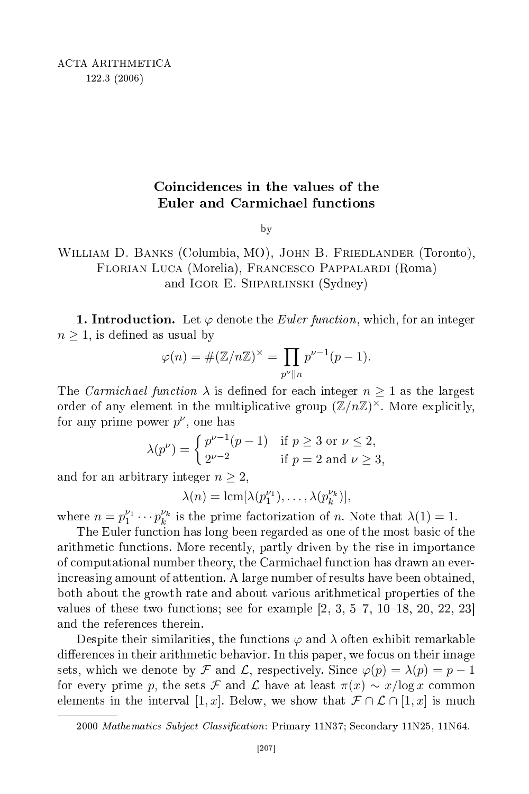## Coin
iden
es in the values of the Euler and Carmichael functions

by  $\overline{\phantom{a}}$ 

## William D. Banks (Columbia, MO), John B. Friedlander (Toronto), Florian Luca (Morelia), Francesco Pappalardi (Roma) and IGOR E. SHPARLINSKI (Sydney)

**1. Introduction.** Let  $\varphi$  denote the *Euler function*, which, for an integer  $n \geq 1$ , is defined as usual by

$$
\varphi(n) = \#(\mathbb{Z}/n\mathbb{Z})^{\times} = \prod_{p^{\nu} \parallel n} p^{\nu - 1}(p - 1).
$$

The *Carmichael function*  $\lambda$  is defined for each integer  $n \geq 1$  as the largest order of any element in the multiplicative group  $(\mathbb{Z}/n\mathbb{Z})^{\times}$ . More explicitly, for any prime power  $p^{\nu}$ , one has

$$
\lambda(p^{\nu}) = \begin{cases} p^{\nu-1}(p-1) & \text{if } p \ge 3 \text{ or } \nu \le 2, \\ 2^{\nu-2} & \text{if } p = 2 \text{ and } \nu \ge 3, \end{cases}
$$

and for an arbitrary integer  $n \geq 2$ ,

$$
\lambda(n) = \operatorname{lcm}[\lambda(p_1^{\nu_1}), \ldots, \lambda(p_k^{\nu_k})],
$$

where  $n = p_1^{\nu_1} \cdots p_k^{\nu_k}$  is the prime factorization of n. Note that  $\lambda(1) = 1$ .

The Euler fun
tion has long been regarded as one of the most basi of the arithmetic functions. More recently, partly driven by the rise in importance of omputational number theory, the Carmi
hael fun
tion has drawn an everincreasing amount of attention. A large number of results have been obtained, both about the growth rate and about various arithmeti
al properties of the values of these two functions; see for example  $[2, 3, 5-7, 10-18, 20, 22, 23]$ and the referen
es therein.

Despite their similarities, the functions  $\varphi$  and  $\lambda$  often exhibit remarkable differences in their arithmetic behavior. In this paper, we focus on their image sets, which we denote by  $\mathcal F$  and  $\mathcal L$ , respectively. Since  $\varphi(p) = \lambda(p) = p - 1$ for every prime p, the sets F and L have at least  $\pi(x) \sim x/\log x$  common elements in the interval [1, x]. Below, we show that  $\mathcal{F} \cap \mathcal{L} \cap [1, x]$  is much

<sup>2000</sup> Mathematics Subject Classification: Primary 11N37; Secondary 11N25, 11N64.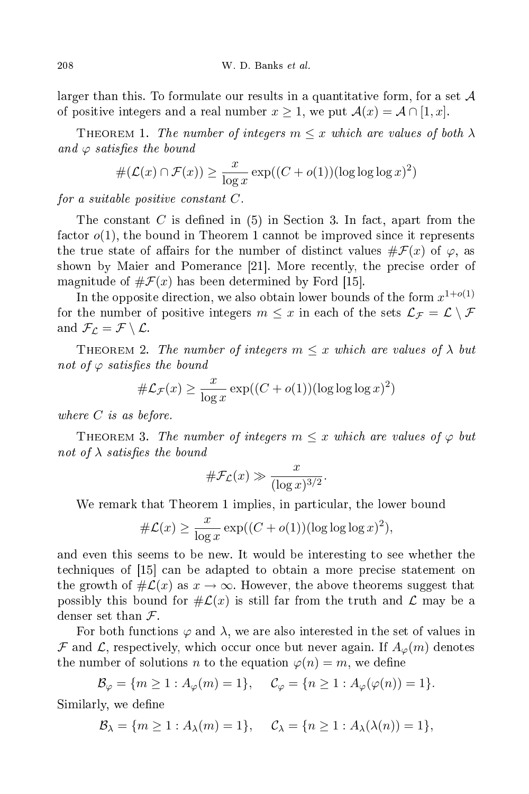larger than this. To formulate our results in a quantitative form, for a set  $A$ of positive integers and a real number  $x \geq 1$ , we put  $\mathcal{A}(x) = \mathcal{A} \cap [1, x]$ .

THEOREM 1. The number of integers  $m \leq x$  which are values of both  $\lambda$ and  $\varphi$  satisfies the bound

$$
\#(\mathcal{L}(x) \cap \mathcal{F}(x)) \ge \frac{x}{\log x} \exp((C + o(1))(\log \log \log x)^2)
$$

for a suitable positive constant  $C$ .

The constant C is defined in  $(5)$  in Section 3. In fact, apart from the factor  $o(1)$ , the bound in Theorem 1 cannot be improved since it represents the true state of affairs for the number of distinct values  $\#\mathcal{F}(x)$  of  $\varphi$ , as shown by Maier and Pomerance [21]. More recently, the precise order of magnitude of  $\#\mathcal{F}(x)$  has been determined by Ford [15].

In the opposite direction, we also obtain lower bounds of the form  $x^{1+o(1)}$ for the number of positive integers  $m \leq x$  in each of the sets  $\mathcal{L}_{\mathcal{F}} = \mathcal{L} \setminus \mathcal{F}$ and  $\mathcal{F}_\mathcal{L} = \mathcal{F} \setminus \mathcal{L}$ .

THEOREM 2. The number of integers  $m \leq x$  which are values of  $\lambda$  but not of  $\varphi$  satisfies the bound

$$
\#\mathcal{L}_{\mathcal{F}}(x) \ge \frac{x}{\log x} \exp((C + o(1))(\log \log \log x)^2)
$$

where C is as before.

THEOREM 3. The number of integers  $m \leq x$  which are values of  $\varphi$  but not of  $\lambda$  satisfies the bound

$$
\#\mathcal{F}_\mathcal{L}(x) \gg \frac{x}{(\log x)^{3/2}}.
$$

We remark that Theorem 1 implies, in particular, the lower bound

$$
\#\mathcal{L}(x) \ge \frac{x}{\log x} \exp((C + o(1))(\log \log \log x)^2),
$$

and even this seems to be new. It would be interesting to see whether the techniques of [15] can be adapted to obtain a more precise statement on the growth of  $\#\mathcal{L}(x)$  as  $x \to \infty$ . However, the above theorems suggest that possibly this bound for  $\#\mathcal{L}(x)$  is still far from the truth and  $\mathcal{L}$  may be a denser set than  $\mathcal{F}$ .

For both functions  $\varphi$  and  $\lambda$ , we are also interested in the set of values in  $\mathcal F$  and  $\mathcal L$ , respectively, which occur once but never again. If  $A_{\varphi}(m)$  denotes the number of solutions n to the equation  $\varphi(n) = m$ , we define

$$
\mathcal{B}_{\varphi} = \{ m \ge 1 : A_{\varphi}(m) = 1 \}, \quad \mathcal{C}_{\varphi} = \{ n \ge 1 : A_{\varphi}(\varphi(n)) = 1 \}.
$$

Similarly, we define

$$
\mathcal{B}_{\lambda} = \{m \ge 1 : A_{\lambda}(m) = 1\}, \quad \mathcal{C}_{\lambda} = \{n \ge 1 : A_{\lambda}(\lambda(n)) = 1\},\
$$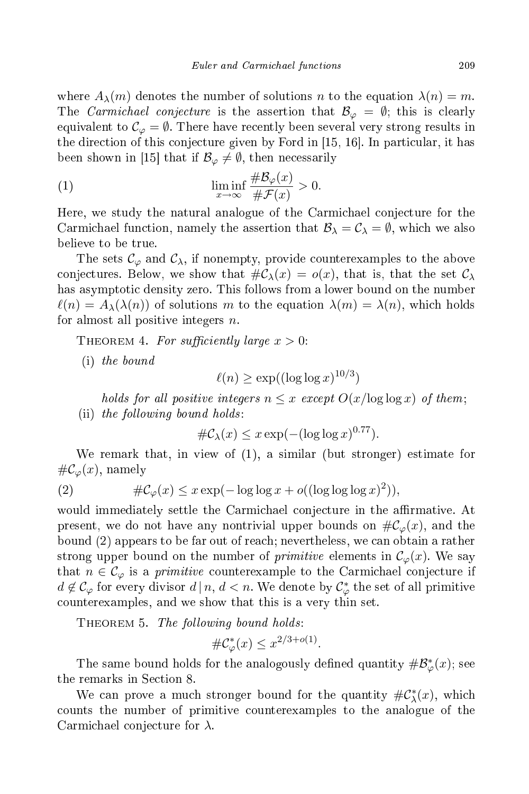where  $A_{\lambda}(m)$  denotes the number of solutions n to the equation  $\lambda(n) = m$ . The *Carmichael conjecture* is the assertion that  $\mathcal{B}_{\varphi} = \emptyset$ ; this is clearly equivalent to  $\mathcal{C}_{\varphi} = \emptyset$ . There have recently been several very strong results in the direction of this conjecture given by Ford in  $[15, 16]$ . In particular, it has been shown in [15] that if  $\mathcal{B}_{\varphi} \neq \emptyset$ , then necessarily

(1) 
$$
\liminf_{x \to \infty} \frac{\# \mathcal{B}_{\varphi}(x)}{\# \mathcal{F}(x)} > 0.
$$

Here, we study the natural analogue of the Carmichael conjecture for the Carmichael function, namely the assertion that  $\mathcal{B}_{\lambda} = \mathcal{C}_{\lambda} = \emptyset$ , which we also believe to be true.

The sets  $\mathcal{C}_{\varphi}$  and  $\mathcal{C}_{\lambda}$ , if nonempty, provide counterexamples to the above conjectures. Below, we show that  $\#\mathcal{C}_{\lambda}(x) = o(x)$ , that is, that the set  $\mathcal{C}_{\lambda}$ has asymptotic density zero. This follows from a lower bound on the number  $\ell(n) = A_{\lambda}(\lambda(n))$  of solutions m to the equation  $\lambda(m) = \lambda(n)$ , which holds for almost all positive integers  $n$ .

THEOREM 4. For sufficiently large  $x > 0$ :

(i) the bound

$$
\ell(n) \ge \exp((\log \log x)^{10/3})
$$

holds for all positive integers  $n \leq x$  except  $O(x/\log \log x)$  of them; (ii) the following bound holds:

$$
\#\mathcal{C}_{\lambda}(x) \leq x \exp(-(\log \log x)^{0.77}).
$$

We remark that, in view of (1), a similar (but stronger) estimate for  $\#\mathcal{C}_{\varphi}(x)$ , namely

(2) 
$$
\#\mathcal{C}_{\varphi}(x) \leq x \exp(-\log \log x + o((\log \log \log x)^{2})),
$$

would immediately settle the Carmichael conjecture in the affirmative. At present, we do not have any nontrivial upper bounds on  $\#C_{\varphi}(x)$ , and the bound (2) appears to be far out of reach; nevertheless, we can obtain a rather strong upper bound on the number of *primitive* elements in  $\mathcal{C}_{\varphi}(x)$ . We say that  $n \in \mathcal{C}_{\varphi}$  is a *primitive* counterexample to the Carmichael conjecture if  $d \not\in \mathcal{C}_{\varphi}$  for every divisor  $d | n, d < n$ . We denote by  $\mathcal{C}_{\varphi}^{*}$  the set of all primitive ounterexamples, and we show that this is a very thin set.

THEOREM 5. The following bound holds:

$$
\#\mathcal{C}_{\varphi}^*(x) \le x^{2/3 + o(1)}
$$

.

The same bound holds for the analogously defined quantity  $\#\mathcal{B}^*_{\varphi}(x)$ ; see the remarks in Section 8.

We can prove a much stronger bound for the quantity  $\#\mathcal{C}_{\lambda}^{*}(x)$ , which ounts the number of primitive ounterexamples to the analogue of the Carmichael conjecture for  $\lambda$ .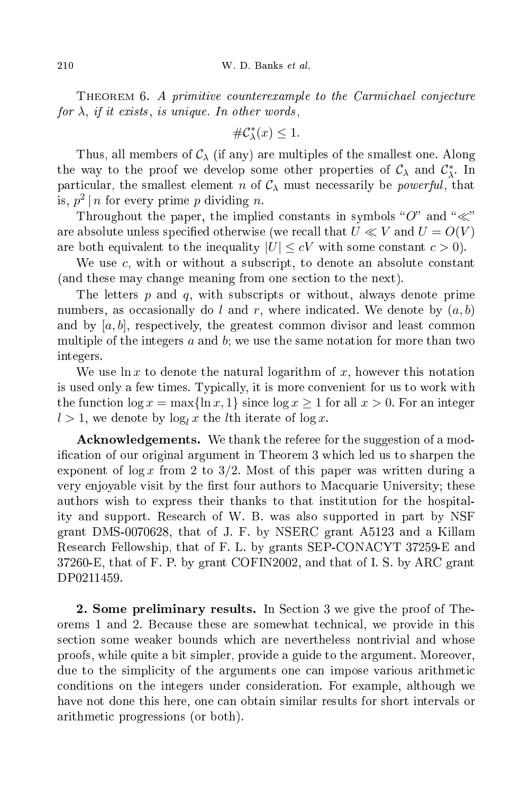THEOREM 6. A primitive counterexample to the Carmichael conjecture for  $\lambda$ , if it exists, is unique. In other words,

$$
\#\mathcal{C}_{\lambda}^*(x) \le 1.
$$

Thus, all members of  $\mathcal{C}_{\lambda}$  (if any) are multiples of the smallest one. Along the way to the proof we develop some other properties of  $C_{\lambda}$  and  $C_{\lambda}^{*}$ . In particular, the smallest element n of  $C_{\lambda}$  must necessarily be *powerful*, that is,  $p^2 | n$  for every prime p dividing n.

Throughout the paper, the implied constants in symbols "O" and " $\ll$ " are absolute unless specified otherwise (we recall that  $U \ll V$  and  $U = O(V)$ are both equivalent to the inequality  $|U| \leq cV$  with some constant  $c > 0$ .

We use  $c$ , with or without a subscript, to denote an absolute constant (and these may hange meaning from one se
tion to the next).

The letters  $p$  and  $q$ , with subscripts or without, always denote prime numbers, as occasionally do l and r, where indicated. We denote by  $(a, b)$ and by  $[a, b]$ , respectively, the greatest common divisor and least common multiple of the integers  $a$  and  $b$ ; we use the same notation for more than two integers.

We use ln x to denote the natural logarithm of x, however this notation is used only a few times. Typi
ally, it is more onvenient for us to work with the function  $\log x = \max\{\ln x, 1\}$  since  $\log x \ge 1$  for all  $x > 0$ . For an integer  $l > 1$ , we denote by  $\log_l x$  the *l*th iterate of  $\log x$ .

**Acknowledgements.** We thank the referee for the suggestion of a modification of our original argument in Theorem 3 which led us to sharpen the exponent of  $\log x$  from 2 to 3/2. Most of this paper was written during a very enjoyable visit by the first four authors to Macquarie University; these authors wish to express their thanks to that institution for the hospitality and support. Resear
h of W. B. was also supported in part by NSF grant DMS-0070628, that of J. F. by NSERC grant A5123 and a Killam Resear
h Fellowship, that of F. L. by grants SEP-CONACYT 37259-E and 37260-E, that of F. P. by grant COFIN2002, and that of I. S. by ARC grant DP0211459.

2. Some preliminary results. In Section 3 we give the proof of Theorems 1 and 2. Be
ause these are somewhat te
hni
al, we provide in this se
tion some weaker bounds whi
h are nevertheless nontrivial and whose proofs, while quite a bit simpler, provide a guide to the argument. Moreover, due to the simplicity of the arguments one can impose various arithmetic onditions on the integers under onsideration. For example, although we have not done this here, one can obtain similar results for short intervals or arithmeti progressions (or both).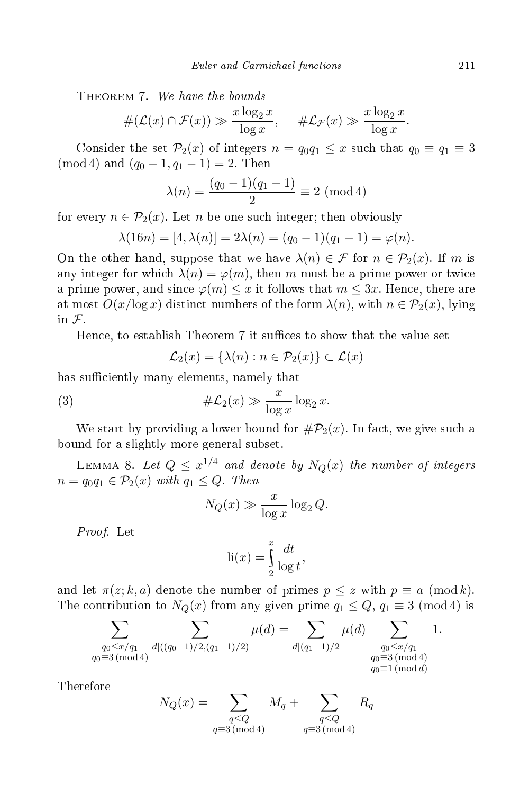THEOREM 7. We have the bounds

$$
\#(\mathcal{L}(x) \cap \mathcal{F}(x)) \gg \frac{x \log_2 x}{\log x}, \quad \# \mathcal{L}_{\mathcal{F}}(x) \gg \frac{x \log_2 x}{\log x}.
$$

Consider the set  $\mathcal{P}_2(x)$  of integers  $n = q_0 q_1 \leq x$  such that  $q_0 \equiv q_1 \equiv 3$ (mod 4) and  $(q_0 - 1, q_1 - 1) = 2$ . Then

$$
\lambda(n) = \frac{(q_0 - 1)(q_1 - 1)}{2} \equiv 2 \pmod{4}
$$

for every  $n \in \mathcal{P}_2(x)$ . Let n be one such integer; then obviously

$$
\lambda(16n) = [4, \lambda(n)] = 2\lambda(n) = (q_0 - 1)(q_1 - 1) = \varphi(n).
$$

On the other hand, suppose that we have  $\lambda(n) \in \mathcal{F}$  for  $n \in \mathcal{P}_2(x)$ . If m is any integer for which  $\lambda(n) = \varphi(m)$ , then m must be a prime power or twice a prime power, and since  $\varphi(m) \leq x$  it follows that  $m \leq 3x$ . Hence, there are at most  $O(x/\log x)$  distinct numbers of the form  $\lambda(n)$ , with  $n \in \mathcal{P}_2(x)$ , lying in  $\mathcal{F}$ .

Hence, to establish Theorem 7 it suffices to show that the value set

$$
\mathcal{L}_2(x) = \{\lambda(n) : n \in \mathcal{P}_2(x)\} \subset \mathcal{L}(x)
$$

has sufficiently many elements, namely that

(3) 
$$
\#\mathcal{L}_2(x) \gg \frac{x}{\log x} \log_2 x.
$$

We start by providing a lower bound for  $\#\mathcal{P}_2(x)$ . In fact, we give such a bound for a slightly more general subset.

LEMMA 8. Let  $Q \leq x^{1/4}$  and denote by  $N_Q(x)$  the number of integers  $n = q_0 q_1 \in \mathcal{P}_2(x)$  with  $q_1 \leq Q$ . Then

$$
N_Q(x) \gg \frac{x}{\log x} \log_2 Q.
$$

Proof. Let

$$
\operatorname{li}(x) = \int_{2}^{x} \frac{dt}{\log t},
$$

and let  $\pi(z; k, a)$  denote the number of primes  $p \leq z$  with  $p \equiv a \pmod k$ . The contribution to  $N_Q(x)$  from any given prime  $q_1 \leq Q$ ,  $q_1 \equiv 3 \pmod{4}$  is

$$
\sum_{\substack{q_0 \le x/q_1 \\ q_0 \equiv 3 \, (\text{mod } 4)}} \sum_{d | ((q_0 - 1)/2, (q_1 - 1)/2)} \mu(d) = \sum_{\substack{d | (q_1 - 1)/2 \\ q_0 \equiv 3 \, (\text{mod } 4) \\ q_0 \equiv 1 \, (\text{mod } d)}} 1.
$$

Therefore

$$
N_Q(x) = \sum_{\substack{q \le Q \\ q \equiv 3 \, (\text{mod } 4)}} M_q + \sum_{\substack{q \le Q \\ q \equiv 3 \, (\text{mod } 4)}} R_q
$$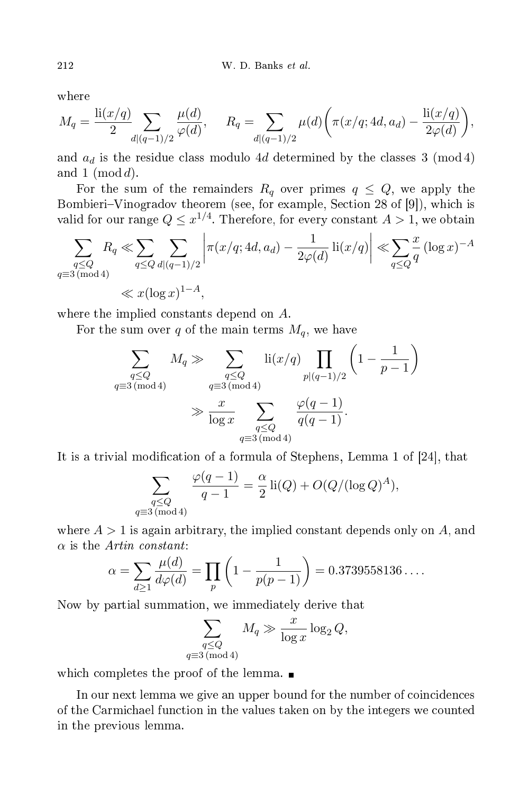where

$$
M_q = \frac{\text{li}(x/q)}{2} \sum_{d|(q-1)/2} \frac{\mu(d)}{\varphi(d)}, \qquad R_q = \sum_{d|(q-1)/2} \mu(d) \bigg( \pi(x/q; 4d, a_d) - \frac{\text{li}(x/q)}{2\varphi(d)} \bigg),
$$

and  $a_d$  is the residue class modulo 4d determined by the classes 3 (mod 4) and 1  $(\text{mod } d)$ .

For the sum of the remainders  $R_q$  over primes  $q \leq Q$ , we apply the Bombieri–Vinogradov theorem (see, for example, Section 28 of [9]), which is valid for our range  $Q \leq x^{1/4}$ . Therefore, for every constant  $A > 1$ , we obtain

$$
\sum_{\substack{q \le Q \\ q \equiv 3 \pmod{4}}} R_q \ll \sum_{q \le Q} \sum_{d|(q-1)/2} \left| \pi(x/q; 4d, a_d) - \frac{1}{2\varphi(d)} \operatorname{li}(x/q) \right| \ll \sum_{q \le Q} \frac{x}{q} (\log x)^{-A}
$$
  

$$
\ll x(\log x)^{1-A},
$$

where the implied constants depend on A.

For the sum over q of the main terms  $M_q$ , we have

$$
\sum_{\substack{q \leq Q \\ q \equiv 3 \pmod{4}}} M_q \gg \sum_{\substack{q \leq Q \\ q \equiv 3 \pmod{4}}} \operatorname{li}(x/q) \prod_{p|(q-1)/2} \left(1 - \frac{1}{p-1}\right)
$$
  

$$
\gg \frac{x}{\log x} \sum_{\substack{q \leq Q \\ q \equiv 3 \pmod{4}}} \frac{\varphi(q-1)}{q(q-1)}.
$$

It is a trivial modification of a formula of Stephens, Lemma 1 of  $[24]$ , that

$$
\sum_{\substack{q \le Q \\ q \equiv 3 \pmod{4}}} \frac{\varphi(q-1)}{q-1} = \frac{\alpha}{2} \operatorname{li}(Q) + O(Q/(\log Q)^A),
$$

where  $A > 1$  is again arbitrary, the implied constant depends only on A, and  $\alpha$  is the *Artin constant*:

$$
\alpha = \sum_{d \ge 1} \frac{\mu(d)}{d\varphi(d)} = \prod_p \left( 1 - \frac{1}{p(p-1)} \right) = 0.3739558136\dots.
$$

Now by partial summation, we immediately derive that

$$
\sum_{\substack{q \le Q \\ q \equiv 3 \pmod{4}}} M_q \gg \frac{x}{\log x} \log_2 Q,
$$

which completes the proof of the lemma.  $\blacksquare$ 

In our next lemma we give an upper bound for the number of coincidences of the Carmi
hael fun
tion in the values taken on by the integers we ounted in the previous lemma.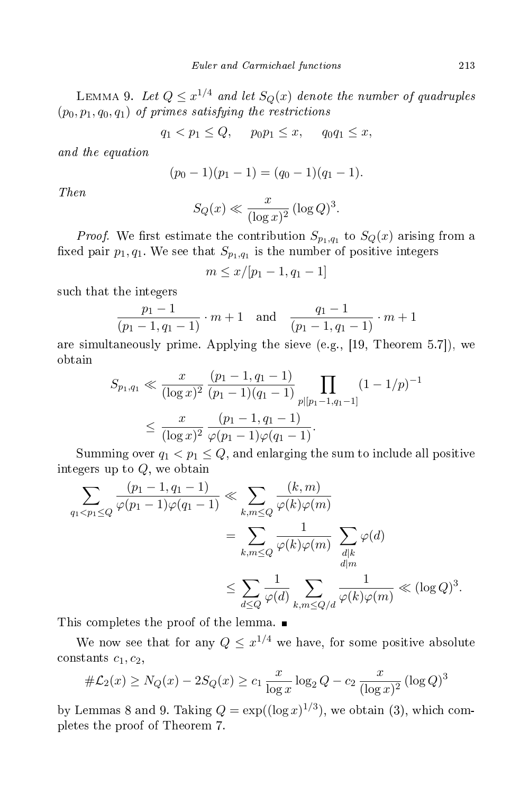LEMMA 9. Let  $Q \leq x^{1/4}$  and let  $S_Q(x)$  denote the number of quadruples  $(p_0, p_1, q_0, q_1)$  of primes satisfying the restrictions

 $q_1 < p_1 \leq Q$ ,  $p_0 p_1 \leq x$ ,  $q_0 q_1 \leq x$ ,

and the equation

$$
(p_0-1)(p_1-1)=(q_0-1)(q_1-1).
$$

Then

$$
S_Q(x) \ll \frac{x}{(\log x)^2} (\log Q)^3.
$$

*Proof.* We first estimate the contribution  $S_{p_1,q_1}$  to  $S_Q(x)$  arising from a fixed pair  $p_1, q_1$ . We see that  $S_{p_1,q_1}$  is the number of positive integers

$$
m \le x/[p_1 - 1, q_1 - 1]
$$

su
h that the integers

$$
\frac{p_1 - 1}{(p_1 - 1, q_1 - 1)} \cdot m + 1 \quad \text{and} \quad \frac{q_1 - 1}{(p_1 - 1, q_1 - 1)} \cdot m + 1
$$

are simultaneously prime. Applying the sieve (e.g., [19, Theorem 5.7]), we obtain

$$
S_{p_1,q_1} \ll \frac{x}{(\log x)^2} \frac{(p_1 - 1, q_1 - 1)}{(p_1 - 1)(q_1 - 1)} \prod_{p \mid [p_1 - 1, q_1 - 1]} (1 - 1/p)^{-1}
$$
  

$$
\leq \frac{x}{(\log x)^2} \frac{(p_1 - 1, q_1 - 1)}{\varphi(p_1 - 1)\varphi(q_1 - 1)}.
$$

Summing over  $q_1 < p_1 \leq Q$ , and enlarging the sum to include all positive integers up to Q, we obtain

$$
\sum_{q_1 < p_1 \le Q} \frac{(p_1 - 1, q_1 - 1)}{\varphi(p_1 - 1)\varphi(q_1 - 1)} \ll \sum_{k,m \le Q} \frac{(k,m)}{\varphi(k)\varphi(m)} \\
= \sum_{k,m \le Q} \frac{1}{\varphi(k)\varphi(m)} \sum_{\substack{d|k \ d|m}} \varphi(d) \\
\le \sum_{d \le Q} \frac{1}{\varphi(d)} \sum_{k,m \le Q/d} \frac{1}{\varphi(k)\varphi(m)} \ll (\log Q)^3.
$$

This ompletes the proof of the lemma.

We now see that for any  $Q \leq x^{1/4}$  we have, for some positive absolute constants  $c_1, c_2$ ,

$$
\# \mathcal{L}_2(x) \ge N_Q(x) - 2S_Q(x) \ge c_1 \frac{x}{\log x} \log_2 Q - c_2 \frac{x}{(\log x)^2} (\log Q)^3
$$

by Lemmas 8 and 9. Taking  $Q = \exp((\log x)^{1/3})$ , we obtain (3), which completes the proof of Theorem 7.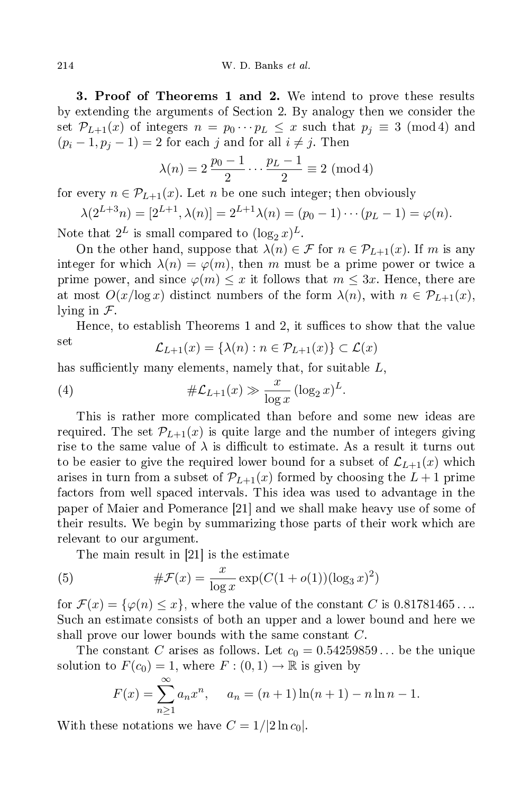3. Proof of Theorems 1 and 2. We intend to prove these results by extending the arguments of Se
tion 2. By analogy then we onsider the set  $\mathcal{P}_{L+1}(x)$  of integers  $n = p_0 \cdots p_L \leq x$  such that  $p_i \equiv 3 \pmod{4}$  and  $(p_i-1, p_j-1)=2$  for each j and for all  $i \neq j$ . Then

$$
\lambda(n) = 2 \frac{p_0 - 1}{2} \cdots \frac{p_L - 1}{2} \equiv 2 \pmod{4}
$$

for every  $n \in \mathcal{P}_{L+1}(x)$ . Let n be one such integer; then obviously

$$
\lambda(2^{L+3}n) = [2^{L+1}, \lambda(n)] = 2^{L+1}\lambda(n) = (p_0 - 1)\cdots(p_L - 1) = \varphi(n).
$$

Note that  $2^L$  is small compared to  $(\log_2 x)^L$ .

On the other hand, suppose that  $\lambda(n) \in \mathcal{F}$  for  $n \in \mathcal{P}_{L+1}(x)$ . If m is any integer for which  $\lambda(n) = \varphi(m)$ , then m must be a prime power or twice a prime power, and since  $\varphi(m) \leq x$  it follows that  $m \leq 3x$ . Hence, there are at most  $O(x/\log x)$  distinct numbers of the form  $\lambda(n)$ , with  $n \in \mathcal{P}_{L+1}(x)$ , lying in  $\mathcal{F}$ .

Hence, to establish Theorems 1 and 2, it suffices to show that the value set

$$
\mathcal{L}_{L+1}(x) = \{\lambda(n) : n \in \mathcal{P}_{L+1}(x)\} \subset \mathcal{L}(x)
$$

has sufficiently many elements, namely that, for suitable  $L$ ,

(4) 
$$
\#\mathcal{L}_{L+1}(x) \gg \frac{x}{\log x} (\log_2 x)^L.
$$

This is rather more ompli
ated than before and some new ideas are required. The set  $\mathcal{P}_{L+1}(x)$  is quite large and the number of integers giving rise to the same value of  $\lambda$  is difficult to estimate. As a result it turns out to be easier to give the required lower bound for a subset of  $\mathcal{L}_{L+1}(x)$  which arises in turn from a subset of  $\mathcal{P}_{L+1}(x)$  formed by choosing the  $L+1$  prime fa
tors from well spa
ed intervals. This idea was used to advantage in the paper of Maier and Pomerance [21] and we shall make heavy use of some of their results. We begin by summarizing those parts of their work whi
h are relevant to our argument.

The main result in [21] is the estimate

(5) 
$$
\#\mathcal{F}(x) = \frac{x}{\log x} \exp(C(1 + o(1))(\log_3 x)^2)
$$

for  $\mathcal{F}(x) = \{\varphi(n) \leq x\}$ , where the value of the constant C is 0.81781465... Su
h an estimate onsists of both an upper and a lower bound and here we shall prove our lower bounds with the same constant  $C$ .

The constant C arises as follows. Let  $c_0 = 0.54259859...$  be the unique solution to  $F(c_0) = 1$ , where  $F: (0, 1) \to \mathbb{R}$  is given by

$$
F(x) = \sum_{n=1}^{\infty} a_n x^n, \quad a_n = (n+1)\ln(n+1) - n\ln n - 1.
$$

With these notations we have  $C = 1/2 \ln c_0$ .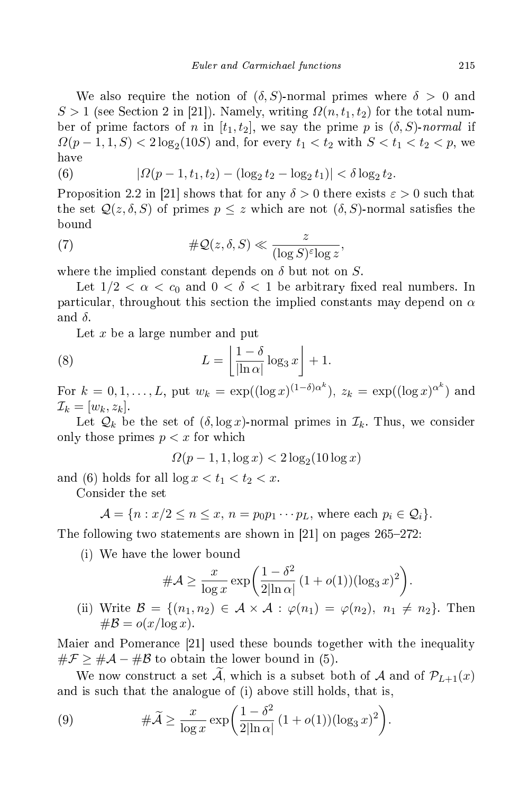We also require the notion of  $(\delta, S)$ -normal primes where  $\delta > 0$  and  $S > 1$  (see Section 2 in [21]). Namely, writing  $\Omega(n, t_1, t_2)$  for the total number of prime factors of n in  $[t_1, t_2]$ , we say the prime p is  $(\delta, S)$ -normal if  $\Omega(p-1,1,S) < 2\log_2(10S)$  and, for every  $t_1 < t_2$  with  $S < t_1 < t_2 < p$ , we have

(6) 
$$
|\Omega(p-1,t_1,t_2) - (\log_2 t_2 - \log_2 t_1)| < \delta \log_2 t_2.
$$

Proposition 2.2 in [21] shows that for any  $\delta > 0$  there exists  $\varepsilon > 0$  such that the set  $\mathcal{Q}(z,\delta,S)$  of primes  $p \leq z$  which are not  $(\delta,S)$ -normal satisfies the bound

(7) 
$$
\#\mathcal{Q}(z,\delta,S) \ll \frac{z}{(\log S)^{\varepsilon} \log z},
$$

where the implied constant depends on  $\delta$  but not on S.

Let  $1/2 < \alpha < c_0$  and  $0 < \delta < 1$  be arbitrary fixed real numbers. In particular, throughout this section the implied constants may depend on  $\alpha$ and  $\delta.$ 

Let  $x$  be a large number and put

(8) 
$$
L = \left\lfloor \frac{1 - \delta}{\left| \ln \alpha \right|} \log_3 x \right\rfloor + 1.
$$

For  $k = 0, 1, \ldots, L$ , put  $w_k = \exp((\log x)^{(1-\delta)\alpha^k})$ ,  $z_k = \exp((\log x)^{\alpha^k})$  and  $\mathcal{I}_k = [w_k, z_k].$ 

Let  $\mathcal{Q}_k$  be the set of  $(\delta, \log x)$ -normal primes in  $\mathcal{I}_k$ . Thus, we consider only those primes  $p < x$  for which

$$
\Omega(p-1,1,\log x) < 2\log_2(10\log x)
$$

and (6) holds for all  $\log x < t_1 < t_2 < x$ .

Consider the set

$$
\mathcal{A} = \{ n : x/2 \le n \le x, n = p_0 p_1 \cdots p_L, \text{ where each } p_i \in \mathcal{Q}_i \}.
$$

The following two statements are shown in [21] on pages  $265-272$ :

(i) We have the lower bound

$$
\#\mathcal{A} \ge \frac{x}{\log x} \exp\left(\frac{1-\delta^2}{2|\ln \alpha|} (1+o(1))(\log_3 x)^2\right).
$$
  
(ii) Write  $\mathcal{B} = \{(n_1, n_2) \in \mathcal{A} \times \mathcal{A} : \varphi(n_1) = \varphi(n_2), n_1 \ne n_2\}$ . Then  

$$
\#\mathcal{B} = o(x/\log x).
$$

Maier and Pomerance [21] used these bounds together with the inequality  $\#\mathcal{F} \geq \#\mathcal{A} - \#\mathcal{B}$  to obtain the lower bound in (5).

We now construct a set  $\tilde{A}$ , which is a subset both of  $A$  and of  $\mathcal{P}_{L+1}(x)$ and is su
h that the analogue of (i) above still holds, that is,

(9) 
$$
\#\widetilde{\mathcal{A}} \ge \frac{x}{\log x} \exp\left(\frac{1-\delta^2}{2|\ln \alpha|} (1+o(1))(\log_3 x)^2\right).
$$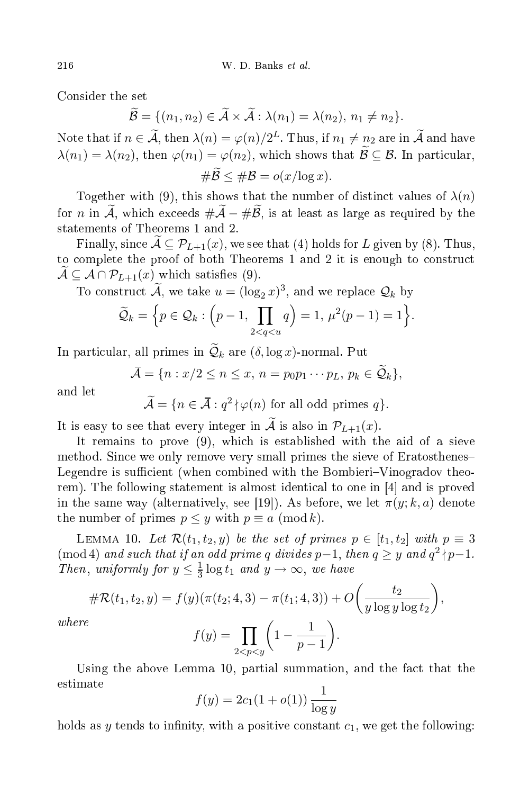Consider the set

$$
\widetilde{\mathcal{B}} = \{ (n_1, n_2) \in \widetilde{\mathcal{A}} \times \widetilde{\mathcal{A}} : \lambda(n_1) = \lambda(n_2), n_1 \neq n_2 \}.
$$

Note that if  $n \in \mathcal{A}$ , then  $\lambda(n) = \varphi(n)/2^L$ . Thus, if  $n_1 \neq n_2$  are in  $\mathcal A$  and have  $\lambda(n_1) = \lambda(n_2)$ , then  $\varphi(n_1) = \varphi(n_2)$ , which shows that  $\widetilde{\mathcal{B}} \subseteq \mathcal{B}$ . In particular,  $\#\widetilde{\mathcal{B}} \leq \#\mathcal{B} = o(x/\log x).$ 

Together with (9), this shows that the number of distinct values of  $\lambda(n)$ for *n* in  $\widetilde{A}$ , which exceeds  $\#\widetilde{A} - \#\widetilde{B}$ , is at least as large as required by the statements of Theorems 1 and 2.

Finally, since  $\mathcal{A} \subseteq \mathcal{P}_{L+1}(x)$ , we see that (4) holds for L given by (8). Thus, to complete the proof of both Theorems 1 and 2 it is enough to construct  $\mathcal{A} \subseteq \mathcal{A} \cap \mathcal{P}_{L+1}(x)$  which satisfies (9).

To construct  $\tilde{\mathcal{A}}$ , we take  $u = (\log_2 x)^3$ , and we replace  $\mathcal{Q}_k$  by

$$
\widetilde{\mathcal{Q}}_k = \Big\{ p \in \mathcal{Q}_k : \Big(p-1, \prod_{2 < q < u} q\Big) = 1, \, \mu^2(p-1) = 1 \Big\}.
$$

In particular, all primes in  $\mathcal{Q}_k$  are  $(\delta, \log x)$ -normal. Put

$$
\bar{\mathcal{A}} = \{n : x/2 \le n \le x, n = p_0 p_1 \cdots p_L, p_k \in \tilde{\mathcal{Q}}_k\},\
$$

and let

 $\widetilde{\mathcal{A}} = \{n \in \overline{\mathcal{A}} : q^2 \nmid \varphi(n) \text{ for all odd primes } q\}.$ 

It is easy to see that every integer in  $\widetilde{A}$  is also in  $\mathcal{P}_{L+1}(x)$ .

It remains to prove (9), which is established with the aid of a sieve method. Sin
e we only remove very small primes the sieve of Eratosthenes Legendre is sufficient (when combined with the Bombieri–Vinogradov theorem). The following statement is almost identical to one in  $[4]$  and is proved in the same way (alternatively, see [19]). As before, we let  $\pi(y; k, a)$  denote the number of primes  $p \leq y$  with  $p \equiv a \pmod{k}$ .

LEMMA 10. Let  $\mathcal{R}(t_1, t_2, y)$  be the set of primes  $p \in [t_1, t_2]$  with  $p \equiv 3$  $p-1$ , then  $q \geq y$  and  $q^2 \nmid p-1$ . Then, uniformly for  $y \leq \frac{1}{3}$  $\frac{1}{3} \log t_1$  and  $y \to \infty$ , we have

$$
\#\mathcal{R}(t_1, t_2, y) = f(y)(\pi(t_2; 4, 3) - \pi(t_1; 4, 3)) + O\left(\frac{t_2}{y \log y \log t_2}\right),
$$
  

$$
f(y) = \prod_{0 \le x \le x} \left(1 - \frac{1}{p - 1}\right).
$$

 $where$ 

$$
f(y) = \prod_{2 < p < y} \left( 1 - \frac{1}{p-1} \right).
$$

Using the above Lemma 10, partial summation, and the fact that the estimate

$$
f(y) = 2c_1(1 + o(1)) \frac{1}{\log y}
$$

holds as y tends to infinity, with a positive constant  $c_1$ , we get the following: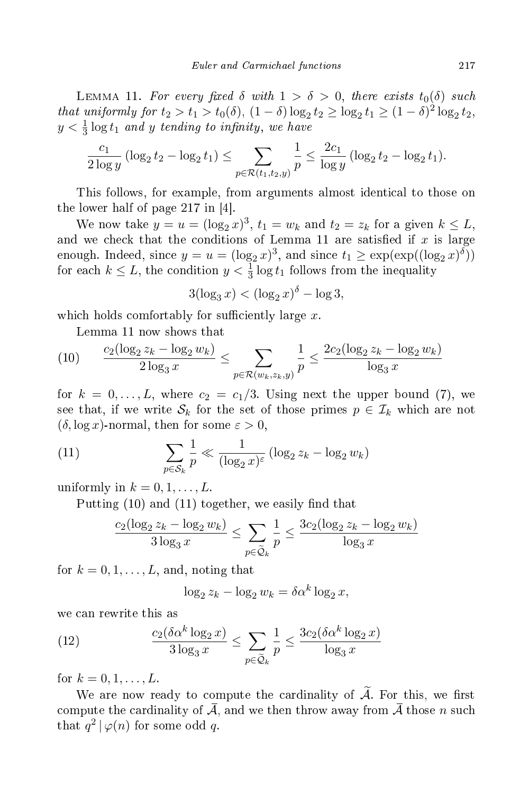LEMMA 11. For every fixed  $\delta$  with  $1 > \delta > 0$ , there exists  $t_0(\delta)$  such that uniformly for  $t_2 > t_1 > t_0(\delta)$ ,  $(1 - \delta) \log_2 t_2 \ge \log_2 t_1 \ge (1 - \delta)^2 \log_2 t_2$ ,  $y < \frac{1}{3} \log t_1$  and y tending to infinity, we have

$$
\frac{c_1}{2\log y} \left(\log_2 t_2 - \log_2 t_1\right) \le \sum_{p \in \mathcal{R}(t_1, t_2, y)} \frac{1}{p} \le \frac{2c_1}{\log y} \left(\log_2 t_2 - \log_2 t_1\right).
$$

This follows, for example, from arguments almost identi
al to those on the lower half of page 217 in  $[4]$ .

We now take  $y = u = (\log_2 x)^3$ ,  $t_1 = w_k$  and  $t_2 = z_k$  for a given  $k \leq L$ , and we check that the conditions of Lemma 11 are satisfied if  $x$  is large enough. Indeed, since  $y = u = (\log_2 x)^3$ , and since  $t_1 \ge \exp(\exp((\log_2 x)^{\delta}))$ for each  $k \leq L$ , the condition  $y < \frac{1}{3} \log t_1$  follows from the inequality

$$
3(\log_3 x) < (\log_2 x)^\delta - \log 3,
$$

which holds comfortably for sufficiently large x.

Lemma 11 now shows that

$$
(10) \qquad \frac{c_2(\log_2 z_k - \log_2 w_k)}{2\log_3 x} \le \sum_{p \in \mathcal{R}(w_k, z_k, y)} \frac{1}{p} \le \frac{2c_2(\log_2 z_k - \log_2 w_k)}{\log_3 x}
$$

for  $k = 0, \ldots, L$ , where  $c_2 = c_1/3$ . Using next the upper bound (7), we see that, if we write  $S_k$  for the set of those primes  $p \in \mathcal{I}_k$  which are not  $(\delta, \log x)$ -normal, then for some  $\varepsilon > 0$ ,

(11) 
$$
\sum_{p \in \mathcal{S}_k} \frac{1}{p} \ll \frac{1}{(\log_2 x)^{\varepsilon}} (\log_2 z_k - \log_2 w_k)
$$

uniformly in  $k = 0, 1, \ldots, L$ .

Putting  $(10)$  and  $(11)$  together, we easily find that

$$
\frac{c_2(\log_2 z_k - \log_2 w_k)}{3\log_3 x} \le \sum_{p \in \widetilde{\mathcal{Q}}_k} \frac{1}{p} \le \frac{3c_2(\log_2 z_k - \log_2 w_k)}{\log_3 x}
$$

for  $k = 0, 1, \ldots, L$ , and, noting that

$$
\log_2 z_k - \log_2 w_k = \delta \alpha^k \log_2 x,
$$

we an rewrite this as

(12) 
$$
\frac{c_2(\delta \alpha^k \log_2 x)}{3 \log_3 x} \le \sum_{p \in \tilde{\mathcal{Q}}_k} \frac{1}{p} \le \frac{3c_2(\delta \alpha^k \log_2 x)}{\log_3 x}
$$

for  $k = 0, 1, ..., L$ .

We are now ready to compute the cardinality of  $\widetilde{A}$ . For this, we first compute the cardinality of  $\overline{A}$ , and we then throw away from  $\overline{A}$  those n such that  $q^2 | \varphi(n)$  for some odd q.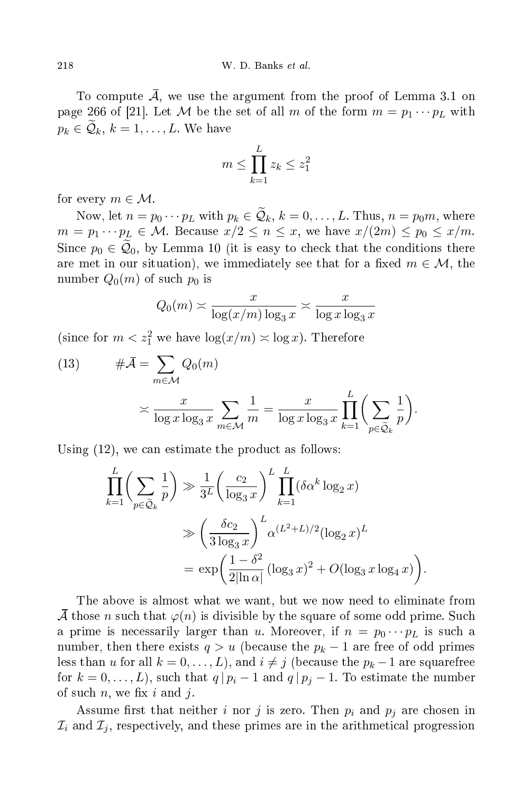To compute  $\overline{A}$ , we use the argument from the proof of Lemma 3.1 on page 266 of [21]. Let M be the set of all m of the form  $m = p_1 \cdots p_L$  with  $p_k \in \mathcal{Q}_k, k = 1, \ldots, L$ . We have

$$
m \le \prod_{k=1}^{L} z_k \le z_1^2
$$

for every  $m \in \mathcal{M}$ .

Now, let  $n = p_0 \cdots p_L$  with  $p_k \in \mathcal{Q}_k$ ,  $k = 0, \ldots, L$ . Thus,  $n = p_0 m$ , where  $m = p_1 \cdots p_L \in \mathcal{M}$ . Because  $x/2 \leq n \leq x$ , we have  $x/(2m) \leq p_0 \leq x/m$ . Since  $p_0 \in \tilde{Q}_0$ , by Lemma 10 (it is easy to check that the conditions there are met in our situation), we immediately see that for a fixed  $m \in \mathcal{M}$ , the number  $Q_0(m)$  of such  $p_0$  is

$$
Q_0(m) \asymp \frac{x}{\log(x/m) \log_3 x} \asymp \frac{x}{\log x \log_3 x}
$$

(since for  $m < z_1^2$  we have  $\log(x/m) \asymp \log x$ ). Therefore

(13) 
$$
\#\overline{A} = \sum_{m \in \mathcal{M}} Q_0(m)
$$

$$
\asymp \frac{x}{\log x \log_3 x} \sum_{m \in \mathcal{M}} \frac{1}{m} = \frac{x}{\log x \log_3 x} \prod_{k=1}^L \left( \sum_{p \in \tilde{\mathcal{Q}}_k} \frac{1}{p} \right).
$$

Using  $(12)$ , we can estimate the product as follows:

$$
\prod_{k=1}^{L} \left( \sum_{p \in \tilde{Q}_k} \frac{1}{p} \right) \gg \frac{1}{3^L} \left( \frac{c_2}{\log_3 x} \right)^L \prod_{k=1}^{L} (\delta \alpha^k \log_2 x)
$$
\n
$$
\gg \left( \frac{\delta c_2}{3 \log_3 x} \right)^L \alpha^{(L^2 + L)/2} (\log_2 x)^L
$$
\n
$$
= \exp \left( \frac{1 - \delta^2}{2|\ln \alpha|} (\log_3 x)^2 + O(\log_3 x \log_4 x) \right).
$$

The above is almost what we want, but we now need to eliminate from A those n such that  $\varphi(n)$  is divisible by the square of some odd prime. Such a prime is necessarily larger than u. Moreover, if  $n = p_0 \cdots p_L$  is such a number, then there exists  $q > u$  (because the  $p_k - 1$  are free of odd primes less than u for all  $k = 0, \ldots, L$ , and  $i \neq j$  (because the  $p_k - 1$  are squarefree for  $k = 0, \ldots, L$ , such that  $q | p_i - 1$  and  $q | p_j - 1$ . To estimate the number of such  $n$ , we fix i and j.

Assume first that neither *i* nor *j* is zero. Then  $p_i$  and  $p_j$  are chosen in  $\mathcal{I}_i$  and  $\mathcal{I}_j$ , respectively, and these primes are in the arithmetical progression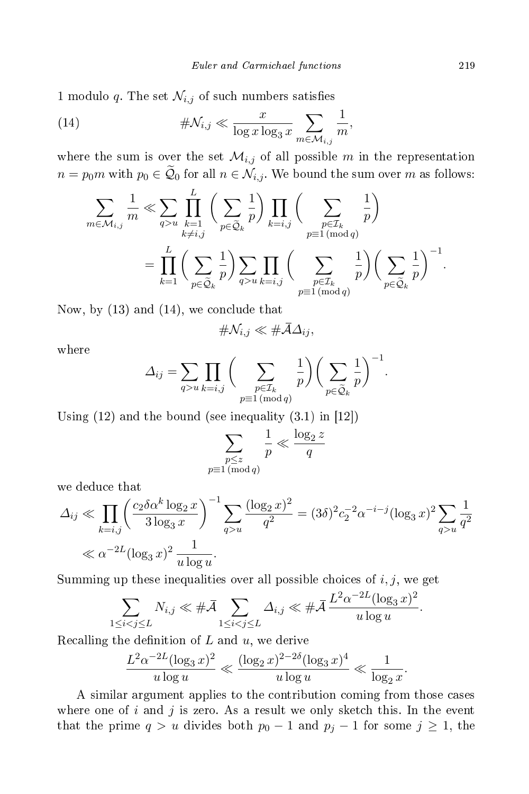1 modulo q. The set  $\mathcal{N}_{i,j}$  of such numbers satisfies

(14) 
$$
\#\mathcal{N}_{i,j} \ll \frac{x}{\log x \log_3 x} \sum_{m \in \mathcal{M}_{i,j}} \frac{1}{m},
$$

where the sum is over the set  $\mathcal{M}_{i,j}$  of all possible m in the representation  $n = p_0 m$  with  $p_0 \in \mathcal{Q}_0$  for all  $n \in \mathcal{N}_{i,j}$ . We bound the sum over m as follows:

$$
\sum_{m \in \mathcal{M}_{i,j}} \frac{1}{m} \ll \sum_{q>u} \prod_{\substack{k=1 \ k \neq i,j}}^{L} \left( \sum_{p \in \tilde{\mathcal{Q}}_k} \frac{1}{p} \right) \prod_{k=i,j} \left( \sum_{\substack{p \in \mathcal{I}_k \ p1 \equiv 1 \pmod{q}}} \frac{1}{p} \right)
$$

$$
= \prod_{k=1}^{L} \left( \sum_{p \in \tilde{\mathcal{Q}}_k} \frac{1}{p} \right) \sum_{q>u} \prod_{k=i,j} \left( \sum_{\substack{p \in \mathcal{I}_k \ p1 \equiv 1 \pmod{q}}} \frac{1}{p} \right) \left( \sum_{p \in \tilde{\mathcal{Q}}_k} \frac{1}{p} \right)^{-1}.
$$

Now, by  $(13)$  and  $(14)$ , we conclude that

$$
\#\mathcal{N}_{i,j}\ll \#\bar{\mathcal{A}}\Delta_{ij},
$$

where

$$
\Delta_{ij} = \sum_{q>u} \prod_{k=i,j} \bigg( \sum_{\substack{p \in \mathcal{I}_k \\ p \equiv 1 \pmod{q}}} \frac{1}{p} \bigg) \bigg( \sum_{p \in \widetilde{\mathcal{Q}}_k} \frac{1}{p} \bigg)^{-1}.
$$

Using  $(12)$  and the bound (see inequality  $(3.1)$  in  $[12]$ )

$$
\sum_{\substack{p \le z \\ p \equiv 1 \pmod{q}}} \frac{1}{p} \ll \frac{\log_2 z}{q}
$$

we dedu
e that

$$
\Delta_{ij} \ll \prod_{k=i,j} \left( \frac{c_2 \delta \alpha^k \log_2 x}{3 \log_3 x} \right)^{-1} \sum_{q>u} \frac{(\log_2 x)^2}{q^2} = (3\delta)^2 c_2^{-2} \alpha^{-i-j} (\log_3 x)^2 \sum_{q>u} \frac{1}{q^2}
$$
  

$$
\ll \alpha^{-2L} (\log_3 x)^2 \frac{1}{u \log u}.
$$

Summing up these inequalities over all possible choices of  $i, j$ , we get

$$
\sum_{1 \leq i < j \leq L} N_{i,j} \ll \# \bar{\mathcal{A}} \sum_{1 \leq i < j \leq L} \Delta_{i,j} \ll \# \bar{\mathcal{A}} \frac{L^2 \alpha^{-2L} (\log_3 x)^2}{u \log u}.
$$

Recalling the definition of  $L$  and  $u$ , we derive

$$
\frac{L^2 \alpha^{-2L} (\log_3 x)^2}{u \log u} \ll \frac{(\log_2 x)^{2 - 2\delta} (\log_3 x)^4}{u \log u} \ll \frac{1}{\log_2 x}.
$$

A similar argument applies to the ontribution oming from those ases where one of  $i$  and  $j$  is zero. As a result we only sketch this. In the event that the prime  $q > u$  divides both  $p_0 - 1$  and  $p_j - 1$  for some  $j \ge 1$ , the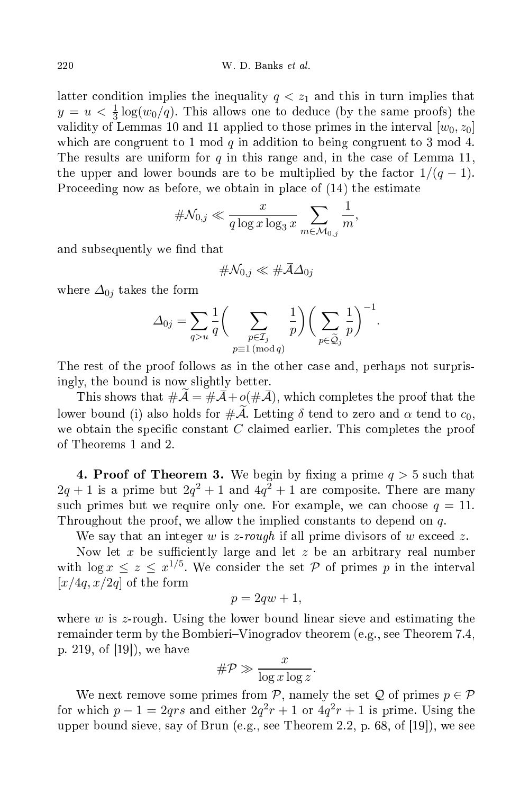latter condition implies the inequality  $q \leq z_1$  and this in turn implies that  $y = u < \frac{1}{3} \log(w_0/q)$ . This allows one to deduce (by the same proofs) the validity of Lemmas 10 and 11 applied to those primes in the interval  $[w_0, z_0]$ which are congruent to 1 mod q in addition to being congruent to 3 mod 4. The results are uniform for q in this range and, in the case of Lemma 11, the upper and lower bounds are to be multiplied by the factor  $1/(q-1)$ . Proceeding now as before, we obtain in place of  $(14)$  the estimate

$$
\#\mathcal{N}_{0,j}\ll \frac{x}{q\log x\log_3x}\sum_{m\in\mathcal{M}_{0,j}}\frac{1}{m},
$$

and subsequently we find that

$$
\#\mathcal{N}_{0,j}\ll \#\bar{\mathcal{A}}\Delta_{0j}
$$

where  $\Delta_{0j}$  takes the form

$$
\Delta_{0j} = \sum_{q>u} \frac{1}{q} \bigg( \sum_{\substack{p \in \mathcal{I}_j \\ p \equiv 1 \pmod{q}}} \frac{1}{p} \bigg) \bigg( \sum_{p \in \widetilde{\mathcal{Q}}_j} \frac{1}{p} \bigg)^{-1}.
$$

The rest of the proof follows as in the other case and, perhaps not surprisingly, the bound is now slightly better.

This shows that  $\#\mathcal{A} = \#\mathcal{A} + o(\#\mathcal{A})$ , which completes the proof that the lower bound (i) also holds for  $\#\mathcal{A}$ . Letting  $\delta$  tend to zero and  $\alpha$  tend to  $c_0$ , we obtain the specific constant  $C$  claimed earlier. This completes the proof of Theorems 1 and 2.

**4. Proof of Theorem 3.** We begin by fixing a prime  $q > 5$  such that  $2q + 1$  is a prime but  $2q^2 + 1$  and  $4q^2 + 1$  are composite. There are many such primes but we require only one. For example, we can choose  $q = 11$ . Throughout the proof, we allow the implied constants to depend on q.

We say that an integer w is z-rough if all prime divisors of w exceed z.

Now let x be sufficiently large and let  $z$  be an arbitrary real number with  $\log x \leq z \leq x^{1/5}$ . We consider the set  $P$  of primes p in the interval  $[x/4q, x/2q]$  of the form

$$
p = 2qw + 1,
$$

where  $w$  is z-rough. Using the lower bound linear sieve and estimating the remainder term by the Bombieri–Vinogradov theorem (e.g., see Theorem 7.4, p. 219, of  $[19]$ , we have

$$
\#\mathcal{P} \gg \frac{x}{\log x \log z}.
$$

We next remove some primes from P, namely the set Q of primes  $p \in \mathcal{P}$ for which  $p - 1 = 2qrs$  and either  $2q^2r + 1$  or  $4q^2r + 1$  is prime. Using the upper bound sieve, say of Brun (e.g., see Theorem 2.2, p. 68, of  $[19]$ ), we see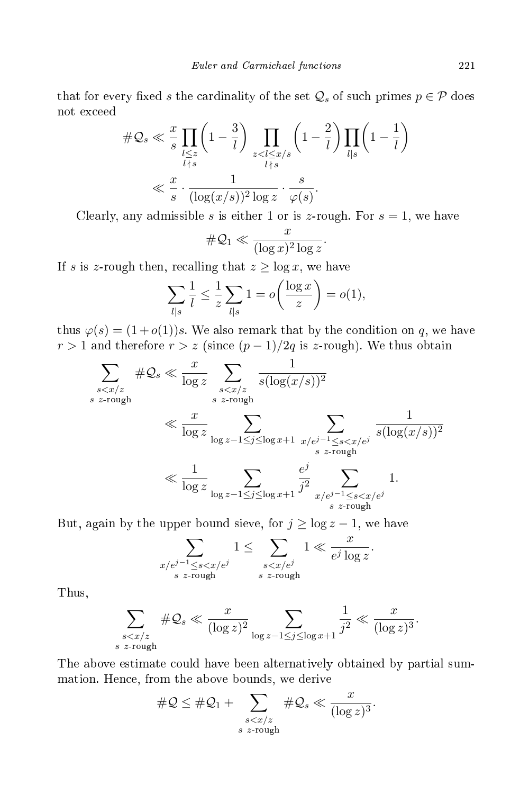that for every fixed s the cardinality of the set  $\mathcal{Q}_s$  of such primes  $p \in \mathcal{P}$  does not ex
eed

$$
\#\mathcal{Q}_s \ll \frac{x}{s} \prod_{\substack{l \leq z \\ l \nmid s}} \left(1 - \frac{3}{l}\right) \prod_{\substack{z < l \leq x/s \\ l \nmid s}} \left(1 - \frac{2}{l}\right) \prod_{l \mid s} \left(1 - \frac{1}{l}\right)
$$
\n
$$
\ll \frac{x}{s} \cdot \frac{1}{(\log(x/s))^2 \log z} \cdot \frac{s}{\varphi(s)}.
$$

Clearly, any admissible s is either 1 or is z-rough. For  $s = 1$ , we have

$$
\#\mathcal{Q}_1 \ll \frac{x}{(\log x)^2 \log z}.
$$

If s is z-rough then, recalling that  $z \ge \log x$ , we have

$$
\sum_{l|s} \frac{1}{l} \le \frac{1}{z} \sum_{l|s} 1 = o\left(\frac{\log x}{z}\right) = o(1),
$$

thus  $\varphi(s) = (1+o(1))s$ . We also remark that by the condition on q, we have  $r > 1$  and therefore  $r > z$  (since  $(p - 1)/2q$  is z-rough). We thus obtain

$$
\sum_{\substack{s < x/z \\ s \text{ z-rough}}} \# \mathcal{Q}_s \ll \frac{x}{\log z} \sum_{\substack{s < x/z \\ s \text{ z-rough}}} \frac{1}{s(\log(x/s))^2}
$$
\n
$$
\ll \frac{x}{\log z} \sum_{\substack{\log z - 1 \le j \le \log x + 1}} \sum_{\substack{x/e^{j-1} \le s < x/e^j \\ s \text{ z-rough}}} \frac{1}{s(\log(x/s))^2}
$$
\n
$$
\ll \frac{1}{\log z} \sum_{\substack{\log z - 1 \le j \le \log x + 1}} \frac{e^j}{j^2} \sum_{\substack{x/e^{j-1} \le s < x/e^j \\ s \text{ z-rough}}} 1.
$$

But, again by the upper bound sieve, for  $j \ge \log z - 1$ , we have

$$
\sum_{\substack{x/e^{j-1}\leq s
$$

Thus,

$$
\sum_{\substack{s < x/z \\ s \; z\text{-rough}}} \# \mathcal{Q}_s \ll \frac{x}{(\log z)^2} \sum_{\log z - 1 \leq j \leq \log x + 1} \frac{1}{j^2} \ll \frac{x}{(\log z)^3}.
$$

The above estimate ould have been alternatively obtained by partial summation. Hen
e, from the above bounds, we derive

$$
\#\mathcal{Q} \leq \#\mathcal{Q}_1 + \sum_{\substack{s < x/z \\ s \text{ z-rough}}} \#\mathcal{Q}_s \ll \frac{x}{(\log z)^3}.
$$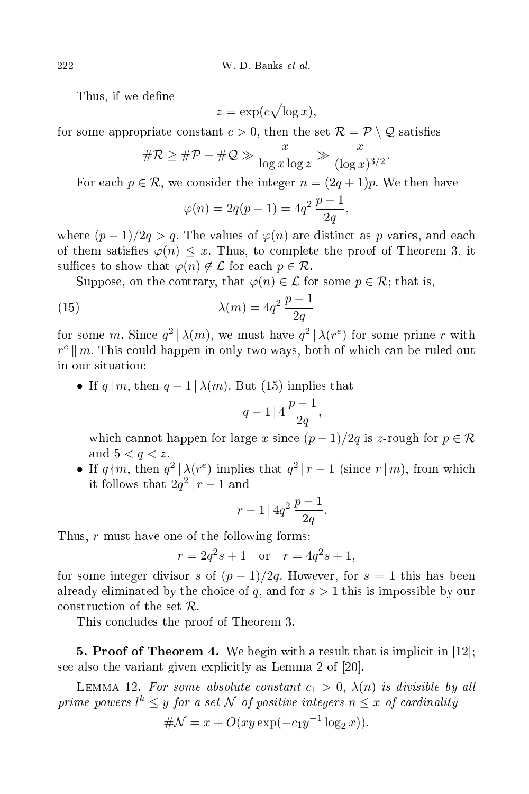Thus, if we define

$$
z = \exp(c\sqrt{\log x}),
$$

for some appropriate constant  $c > 0$ , then the set  $\mathcal{R} = \mathcal{P} \setminus \mathcal{Q}$  satisfies

$$
\#\mathcal{R} \ge \#\mathcal{P} - \#\mathcal{Q} \gg \frac{x}{\log x \log z} \gg \frac{x}{(\log x)^{3/2}}.
$$

For each  $p \in \mathcal{R}$ , we consider the integer  $n = (2q + 1)p$ . We then have

$$
\varphi(n) = 2q(p-1) = 4q^2 \frac{p-1}{2q},
$$

where  $(p-1)/2q > q$ . The values of  $\varphi(n)$  are distinct as p varies, and each of them satisfies  $\varphi(n) \leq x$ . Thus, to complete the proof of Theorem 3, it suffices to show that  $\varphi(n) \notin \mathcal{L}$  for each  $p \in \mathcal{R}$ .

Suppose, on the contrary, that  $\varphi(n) \in \mathcal{L}$  for some  $p \in \mathcal{R}$ ; that is,

(15) 
$$
\lambda(m) = 4q^2 \frac{p-1}{2q}
$$

for some m. Since  $q^2 | \lambda(m)$ , we must have  $q^2 | \lambda(r^e)$  for some prime r with  $r^e \parallel m$ . This could happen in only two ways, both of which can be ruled out in our situation:

• If  $q | m$ , then  $q-1 | \lambda(m)$ . But (15) implies that

$$
q-1\mid 4\,\frac{p-1}{2q},
$$

which cannot happen for large x since  $(p-1)/2q$  is z-rough for  $p \in \mathcal{R}$ and  $5 < q < z$ .

• If  $q\nmid m$ , then  $q^2 | \lambda(r^e)$  implies that  $q^2 | r-1$  (since  $r | m$ ), from which it follows that  $2q^2 | r - 1$  and

$$
r-1\,|\,4q^2\,\frac{p-1}{2q}.
$$

Thus, r must have one of the following forms:

$$
r = 2q^2s + 1
$$
 or  $r = 4q^2s + 1$ ,

for some integer divisor s of  $(p-1)/2q$ . However, for  $s = 1$  this has been already eliminated by the choice of  $q$ , and for  $s > 1$  this is impossible by our construction of the set  $\mathcal{R}$ .

This on
ludes the proof of Theorem 3.

**5. Proof of Theorem 4.** We begin with a result that is implicit in  $|12|$ ; see also the variant given explicitly as Lemma 2 of  $[20]$ .

LEMMA 12. For some absolute constant  $c_1 > 0$ ,  $\lambda(n)$  is divisible by all prime powers  $l^k \leq y$  for a set  $\mathcal N$  of positive integers  $n \leq x$  of cardinality

$$
\# \mathcal{N} = x + O(xy \exp(-c_1 y^{-1} \log_2 x)).
$$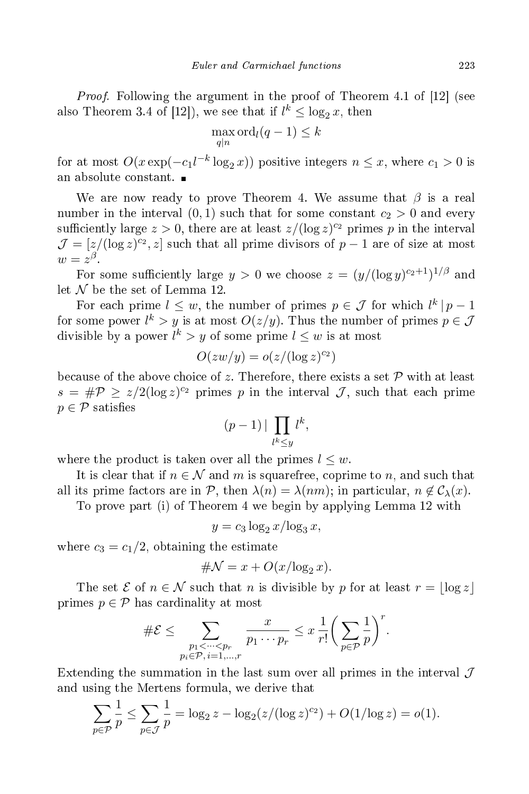*Proof.* Following the argument in the proof of Theorem 4.1 of  $[12]$  (see also Theorem 3.4 of [12]), we see that if  $l^k \leq \log_2 x$ , then

$$
\max_{q|n} \operatorname{ord}_l(q-1) \le k
$$

for at most  $O(x \exp(-c_1 l^{-k} \log_2 x))$  positive integers  $n \leq x$ , where  $c_1 > 0$  is

We are now ready to prove Theorem 4. We assume that  $\beta$  is a real number in the interval  $(0,1)$  such that for some constant  $c_2 > 0$  and every sufficiently large  $z > 0$ , there are at least  $z/(\log z)^{c_2}$  primes p in the interval  $\mathcal{J} = [z/(\log z)^{c_2}, z]$  such that all prime divisors of  $p-1$  are of size at most  $w=z^{\beta}$ 

For some sufficiently large  $y > 0$  we choose  $z = (y/(\log y)^{c_2+1})^{1/\beta}$  and let  $\mathcal N$  be the set of Lemma 12.

For each prime  $l \leq w$ , the number of primes  $p \in \mathcal{J}$  for which  $l^k | p - 1$ for some power  $l^k > y$  is at most  $O(z/y)$ . Thus the number of primes  $p \in \mathcal{J}$ divisible by a power  $l^k > y$  of some prime  $l \leq w$  is at most

$$
O(zw/y) = o(z/(\log z)^{c_2})
$$

because of the above choice of z. Therefore, there exists a set  $P$  with at least  $s = \#P \geq z/2(\log z)^{c_2}$  primes p in the interval J, such that each prime  $p \in \mathcal{P}$  satisfies

$$
(p-1) | \prod_{l^k \le y} l^k,
$$

where the product is taken over all the primes  $l \leq w$ .

It is clear that if  $n \in \mathcal{N}$  and m is squarefree, coprime to n, and such that all its prime factors are in P, then  $\lambda(n) = \lambda(nm)$ ; in particular,  $n \notin C_{\lambda}(x)$ .

To prove part (i) of Theorem 4 we begin by applying Lemma 12 with

$$
y = c_3 \log_2 x / \log_3 x,
$$

where  $c_3 = c_1/2$ , obtaining the estimate

$$
\#N = x + O(x/\log_2 x).
$$

The set  $\mathcal E$  of  $n \in \mathcal N$  such that n is divisible by p for at least  $r = |\log z|$ primes  $p \in \mathcal{P}$  has cardinality at most

$$
\#\mathcal{E} \leq \sum_{\substack{p_1 < \dots < p_r \\ p_i \in \mathcal{P}, i = 1, \dots, r}} \frac{x}{p_1 \cdots p_r} \leq x \cdot \frac{1}{r!} \bigg( \sum_{p \in \mathcal{P}} \frac{1}{p} \bigg)^r.
$$

Extending the summation in the last sum over all primes in the interval  $\mathcal J$ and using the Mertens formula, we derive that

$$
\sum_{p \in \mathcal{P}} \frac{1}{p} \le \sum_{p \in \mathcal{J}} \frac{1}{p} = \log_2 z - \log_2 (z/(\log z)^{c_2}) + O(1/\log z) = o(1).
$$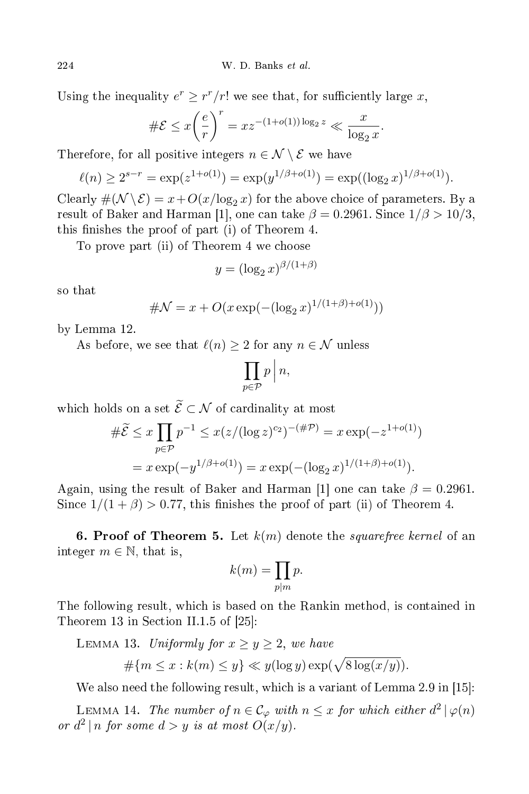Using the inequality  $e^r \geq r^r/r!$  we see that, for sufficiently large x,

$$
\#\mathcal{E} \le x \left(\frac{e}{r}\right)^r = x z^{-(1+o(1))\log_2 z} \ll \frac{x}{\log_2 x}.
$$

Therefore, for all positive integers  $n \in \mathcal{N} \setminus \mathcal{E}$  we have

$$
\ell(n) \ge 2^{s-r} = \exp(z^{1+o(1)}) = \exp(y^{1/\beta + o(1)}) = \exp((\log_2 x)^{1/\beta + o(1)}).
$$

Clearly  $\#(\mathcal{N} \setminus \mathcal{E}) = x + O(x/\log_2 x)$  for the above choice of parameters. By a result of Baker and Harman [1], one can take  $\beta = 0.2961$ . Since  $1/\beta > 10/3$ , this finishes the proof of part (i) of Theorem 4.

To prove part (ii) of Theorem 4 we hoose

$$
y = (\log_2 x)^{\beta/(1+\beta)}
$$

so that

$$
\# \mathcal{N} = x + O(x \exp(-(\log_2 x)^{1/(1+\beta)+o(1)}))
$$

by Lemma 12.

As before, we see that  $\ell(n) \geq 2$  for any  $n \in \mathcal{N}$  unless

$$
\prod_{p\in\mathcal{P}}p\,\Big|\,n,
$$

which holds on a set  $\widetilde{\mathcal{E}} \subset \mathcal{N}$  of cardinality at most

$$
\#\widetilde{\mathcal{E}} \le x \prod_{p \in \mathcal{P}} p^{-1} \le x(z/(\log z)^{c_2})^{-(\#\mathcal{P})} = x \exp(-z^{1+o(1)})
$$

$$
= x \exp(-y^{1/\beta + o(1)}) = x \exp(-(\log_2 x)^{1/(1+\beta) + o(1)}).
$$

Again, using the result of Baker and Harman [1] one can take  $\beta = 0.2961$ . Since  $1/(1+\beta) > 0.77$ , this finishes the proof of part (ii) of Theorem 4.

6. Proof of Theorem 5. Let  $k(m)$  denote the squarefree kernel of an integer  $m \in \mathbb{N}$ , that is,

$$
k(m) = \prod_{p|m} p.
$$

The following result, which is based on the Rankin method, is contained in Theorem 13 in Section II.1.5 of  $[25]$ :

LEMMA 13. Uniformly for  $x \ge y \ge 2$ , we have

$$
\#\{m \le x : k(m) \le y\} \ll y(\log y) \exp(\sqrt{8\log(x/y)})
$$

We also need the following result, which is a variant of Lemma 2.9 in  $[15]$ :

LEMMA 14. The number of  $n \in \mathcal{C}_{\varphi}$  with  $n \leq x$  for which either  $d^2 | \varphi(n)$ or  $d^2 | n$  for some  $d > y$  is at most  $O(x/y)$ .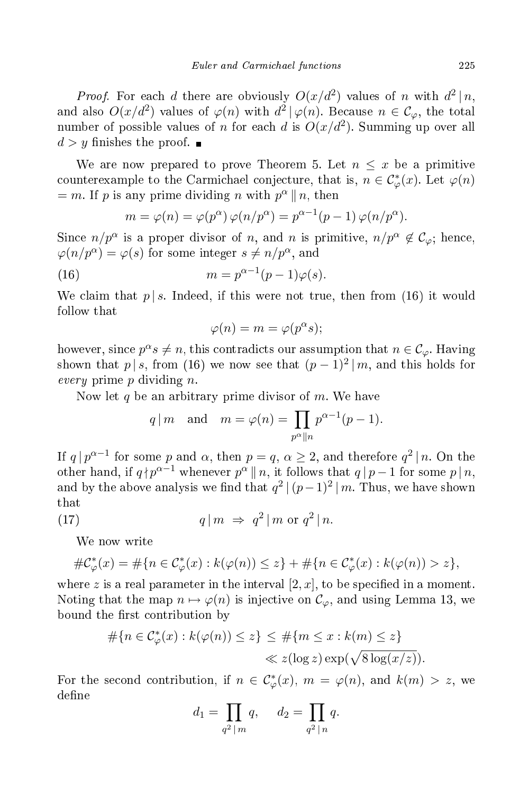*Proof.* For each d there are obviously  $O(x/d^2)$  values of n with  $d^2 | n$ , and also  $O(x/d^2)$  values of  $\varphi(n)$  with  $d^2|\varphi(n)|$ . Because  $n \in C_{\varphi}$ , the total number of possible values of *n* for each *d* is  $O(x/d^2)$ . Summing up over all  $d > y$  finishes the proof.

We are now prepared to prove Theorem 5. Let  $n \leq x$  be a primitive counterexample to the Carmichael conjecture, that is,  $n \in C^*_\varphi(x)$ . Let  $\varphi(n)$  $= m$ . If p is any prime dividing n with  $p^{\alpha} \parallel n$ , then

$$
m = \varphi(n) = \varphi(p^{\alpha}) \varphi(n/p^{\alpha}) = p^{\alpha-1}(p-1) \varphi(n/p^{\alpha}).
$$

Since  $n/p^{\alpha}$  is a proper divisor of n, and n is primitive,  $n/p^{\alpha} \notin C_{\varphi}$ ; hence,  $\varphi(n/p^{\alpha}) = \varphi(s)$  for some integer  $s \neq n/p^{\alpha}$ , and

(16) 
$$
m = p^{\alpha - 1}(p - 1)\varphi(s).
$$

We claim that  $p | s$ . Indeed, if this were not true, then from (16) it would follow that

$$
\varphi(n) = m = \varphi(p^{\alpha}s);
$$

however, since  $p^{\alpha}s \neq n$ , this contradicts our assumption that  $n \in C_{\varphi}$ . Having shown that  $p | s$ , from (16) we now see that  $(p-1)^2 | m$ , and this holds for every prime  $p$  dividing  $n$ .

Now let  $q$  be an arbitrary prime divisor of  $m$ . We have

$$
q \mid m
$$
 and  $m = \varphi(n) = \prod_{p^{\alpha} \mid n} p^{\alpha - 1}(p - 1).$ 

If  $q | p^{\alpha-1}$  for some p and  $\alpha$ , then  $p = q$ ,  $\alpha \geq 2$ , and therefore  $q^2 | n$ . On the other hand, if  $q \nmid p^{\alpha-1}$  whenever  $p^{\alpha} \parallel n$ , it follows that  $q \parallel p-1$  for some  $p \mid n$ , and by the above analysis we find that  $q^2 | (p-1)^2 | m$ . Thus, we have shown that

(17) 
$$
q \mid m \Rightarrow q^2 \mid m \text{ or } q^2 \mid n.
$$

We now write

$$
\#\mathcal{C}^*_{\varphi}(x) = \#\{n \in \mathcal{C}^*_{\varphi}(x) : k(\varphi(n)) \leq z\} + \#\{n \in \mathcal{C}^*_{\varphi}(x) : k(\varphi(n)) > z\},\
$$

where z is a real parameter in the interval  $[2, x]$ , to be specified in a moment. Noting that the map  $n \mapsto \varphi(n)$  is injective on  $\mathcal{C}_{\varphi}$ , and using Lemma 13, we bound the first contribution by

$$
#{n \in C^*_{\varphi}(x) : k(\varphi(n)) \le z} \le #{m \le x : k(m) \le z}
$$
  

$$
\ll z(\log z) \exp(\sqrt{8 \log(x/z)}).
$$

For the second contribution, if  $n \in \mathcal{C}^*_{\varphi}(x)$ ,  $m = \varphi(n)$ , and  $k(m) > z$ , we define

$$
d_1 = \prod_{q^2 \mid m} q, \quad d_2 = \prod_{q^2 \mid n} q.
$$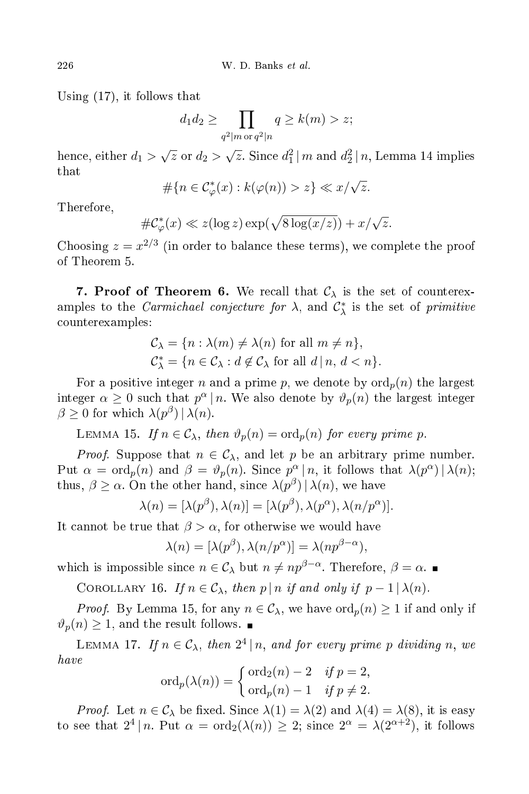Using (17), it follows that

$$
d_1 d_2 \ge \prod_{q^2 | m \text{ or } q^2 | n} q \ge k(m) > z;
$$

hence, either  $d_1 > \sqrt{z}$  or  $d_2 > \sqrt{z}$ . Since  $d_1^2 \mid m$  and  $d_2^2 \mid n$ , Lemma 14 implies that

$$
\#\{n \in \mathcal{C}^*_{\varphi}(x) : k(\varphi(n)) > z\} \ll x/\sqrt{z}.
$$

Therefore,

$$
\#\mathcal{C}^*_{\varphi}(x) \ll z(\log z) \exp(\sqrt{8\log(x/z)}) + x/\sqrt{z}.
$$

Choosing  $z = x^{2/3}$  (in order to balance these terms), we complete the proof of Theorem 5.

7. Proof of Theorem 6. We recall that  $\mathcal{C}_{\lambda}$  is the set of counterexamples to the *Carmichael conjecture for*  $\lambda$ , and  $C_{\lambda}^{*}$  is the set of *primitive* ounterexamples:

$$
C_{\lambda} = \{n : \lambda(m) \neq \lambda(n) \text{ for all } m \neq n\},\
$$
  

$$
C_{\lambda}^* = \{n \in C_{\lambda} : d \notin C_{\lambda} \text{ for all } d \mid n, d < n\}.
$$

For a positive integer n and a prime p, we denote by  $\text{ord}_p(n)$  the largest integer  $\alpha \geq 0$  such that  $p^{\alpha} | n$ . We also denote by  $\vartheta_p(n)$  the largest integer  $\beta \geq 0$  for which  $\lambda(p^{\beta}) | \lambda(n)$ .

LEMMA 15. If  $n \in \mathcal{C}_{\lambda}$ , then  $\vartheta_p(n) = \text{ord}_p(n)$  for every prime p.

*Proof.* Suppose that  $n \in \mathcal{C}_{\lambda}$ , and let p be an arbitrary prime number. Put  $\alpha = \text{ord}_p(n)$  and  $\beta = \vartheta_p(n)$ . Since  $p^{\alpha} | n$ , it follows that  $\lambda(p^{\alpha}) | \lambda(n)$ ; thus,  $\beta \geq \alpha$ . On the other hand, since  $\lambda(p^{\beta}) | \lambda(n)$ , we have

$$
\lambda(n) = [\lambda(p^{\beta}), \lambda(n)] = [\lambda(p^{\beta}), \lambda(p^{\alpha}), \lambda(n/p^{\alpha})].
$$

It cannot be true that  $\beta > \alpha$ , for otherwise we would have

$$
\lambda(n) = [\lambda(p^{\beta}), \lambda(n/p^{\alpha})] = \lambda(np^{\beta - \alpha}),
$$

which is impossible since  $n \in \mathcal{C}_{\lambda}$  but  $n \neq np^{\beta-\alpha}$ . Therefore,  $\beta = \alpha$ .

COROLLARY 16. If  $n \in \mathcal{C}_{\lambda}$ , then  $p | n$  if and only if  $p - 1 | \lambda(n)$ .

*Proof.* By Lemma 15, for any  $n \in \mathcal{C}_{\lambda}$ , we have  $\text{ord}_p(n) \geq 1$  if and only if  $\vartheta_p(n) \geq 1$ , and the result follows.  $\blacksquare$ 

LEMMA 17. If  $n \in \mathcal{C}_{\lambda}$ , then  $2^4 | n$ , and for every prime p dividing n, we have

$$
\operatorname{ord}_p(\lambda(n)) = \begin{cases} \operatorname{ord}_2(n) - 2 & \text{if } p = 2, \\ \operatorname{ord}_p(n) - 1 & \text{if } p \neq 2. \end{cases}
$$

*Proof.* Let  $n \in \mathcal{C}_{\lambda}$  be fixed. Since  $\lambda(1) = \lambda(2)$  and  $\lambda(4) = \lambda(8)$ , it is easy to see that  $2^4 | n$ . Put  $\alpha = \text{ord}_2(\lambda(n)) \geq 2$ ; since  $2^{\alpha} = \lambda(2^{\alpha+2})$ , it follows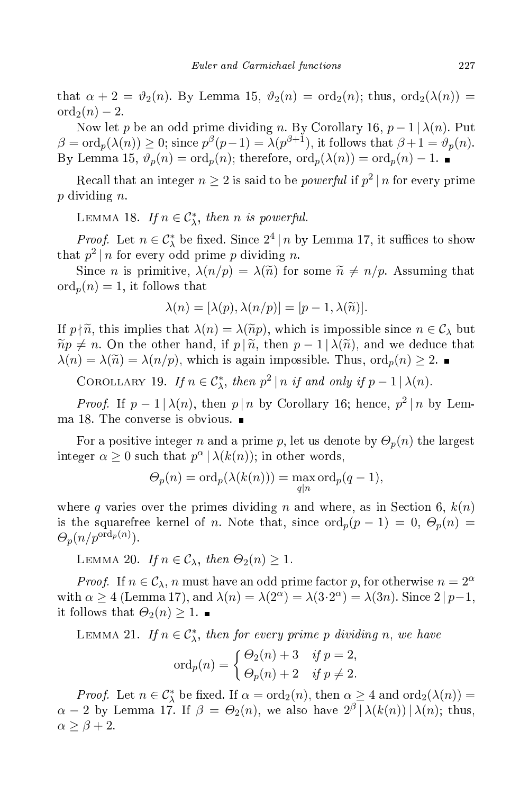that  $\alpha + 2 = \vartheta_2(n)$ . By Lemma 15,  $\vartheta_2(n) = \text{ord}_2(n)$ ; thus,  $\text{ord}_2(\lambda(n)) =$  $\operatorname{ord}_2(n) - 2$ .

Now let p be an odd prime dividing n. By Corollary 16,  $p-1 | \lambda(n)$ . Put  $\beta = \text{ord}_p(\lambda(n)) \geq 0$ ; since  $p^{\beta}(p-1) = \lambda(p^{\beta+1})$ , it follows that  $\beta + 1 = \vartheta_p(n)$ . By Lemma 15,  $\vartheta_p(n) = \text{ord}_p(n)$ ; therefore,  $\text{ord}_p(\lambda(n)) = \text{ord}_p(n) - 1$ .

Recall that an integer  $n \geq 2$  is said to be *powerful* if  $p^2 | n$  for every prime p dividing n.

LEMMA 18. If  $n \in C^*_{\lambda}$ , then n is powerful.

*Proof.* Let  $n \in C_{\lambda}^*$  be fixed. Since  $2^4 | n$  by Lemma 17, it suffices to show that  $p^2 | n$  for every odd prime p dividing n.

Since *n* is primitive,  $\lambda(n/p) = \lambda(\tilde{n})$  for some  $\tilde{n} \neq n/p$ . Assuming that  $\mathrm{ord}_p(n) = 1$ , it follows that

$$
\lambda(n) = [\lambda(p), \lambda(n/p)] = [p-1, \lambda(\widetilde{n})].
$$

If  $p \nmid \tilde{n}$ , this implies that  $\lambda(n) = \lambda(\tilde{n}p)$ , which is impossible since  $n \in C_{\lambda}$  but  $\widetilde{np} \neq n$ . On the other hand, if  $p | \widetilde{n}$ , then  $p-1 | \lambda(\widetilde{n})$ , and we deduce that  $\lambda(n) = \lambda(\tilde{n}) = \lambda(n/p)$ , which is again impossible. Thus,  $\text{ord}_p(n) \geq 2$ .

COROLLARY 19. If  $n \in C^*_{\lambda}$ , then  $p^2 | n$  if and only if  $p - 1 | \lambda(n)$ .

*Proof.* If  $p-1 \mid \lambda(n)$ , then  $p \mid n$  by Corollary 16; hence,  $p^2 \mid n$  by Lemma 18. The onverse is obvious.

For a positive integer n and a prime p, let us denote by  $\Theta_p(n)$  the largest integer  $\alpha \geq 0$  such that  $p^{\alpha} | \lambda(k(n))$ ; in other words,

$$
\Theta_p(n) = \text{ord}_p(\lambda(k(n))) = \max_{q|n} \text{ord}_p(q-1),
$$

where q varies over the primes dividing n and where, as in Section 6,  $k(n)$ is the squarefree kernel of n. Note that, since  $\text{ord}_p(p-1) = 0, \Theta_p(n) =$  $\Theta_p(n/p^{\text{ord}_p(n)})$ .

LEMMA 20. If  $n \in \mathcal{C}_{\lambda}$ , then  $\Theta_2(n) \geq 1$ .

*Proof.* If  $n \in \mathcal{C}_{\lambda}$ , n must have an odd prime factor p, for otherwise  $n = 2^{\alpha}$ with  $\alpha \ge 4$  (Lemma 17), and  $\lambda(n) = \lambda(2^{\alpha}) = \lambda(3 \cdot 2^{\alpha}) = \lambda(3n)$ . Since  $2 \mid p-1$ , it follows that  $\Theta_2(n) \geq 1$ .

LEMMA 21. If  $n \in C^*_{\lambda}$ , then for every prime p dividing n, we have

$$
ord_p(n) = \begin{cases} \Theta_2(n) + 3 & \text{if } p = 2, \\ \Theta_p(n) + 2 & \text{if } p \neq 2. \end{cases}
$$

*Proof.* Let  $n \in C_{\lambda}^*$  be fixed. If  $\alpha = \text{ord}_2(n)$ , then  $\alpha \geq 4$  and  $\text{ord}_2(\lambda(n)) =$  $\alpha - 2$  by Lemma 17. If  $\beta = \Theta_2(n)$ , we also have  $2^{\beta} |\lambda(k(n))| \lambda(n)$ ; thus,  $\alpha \geq \beta + 2$ .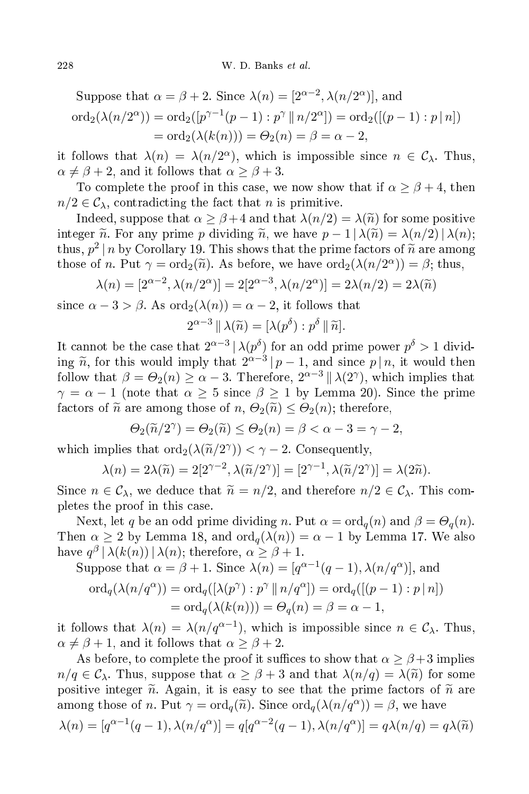Suppose that  $\alpha = \beta + 2$ . Since  $\lambda(n) = [2^{\alpha-2}, \lambda(n/2^{\alpha})]$ , and ord<sub>2</sub>( $\lambda(n/2^{\alpha})$ ) = ord<sub>2</sub>([ $p^{\gamma-1}(p-1): p^{\gamma} || n/2^{\alpha}]$ ) = ord<sub>2</sub>([( $p-1): p | n]$ )  $=$  ord<sub>2</sub>( $\lambda$ (k(n))) =  $\Theta_2(n) = \beta = \alpha - 2$ ,

it follows that  $\lambda(n) = \lambda(n/2^{\alpha})$ , which is impossible since  $n \in C_{\lambda}$ . Thus,  $\alpha \neq \beta + 2$ , and it follows that  $\alpha \geq \beta + 3$ .

To complete the proof in this case, we now show that if  $\alpha \geq \beta + 4$ , then  $n/2 \in \mathcal{C}_{\lambda}$ , contradicting the fact that *n* is primitive.

Indeed, suppose that  $\alpha \geq \beta + 4$  and that  $\lambda(n/2) = \lambda(\tilde{n})$  for some positive integer  $\tilde{n}$ . For any prime p dividing  $\tilde{n}$ , we have  $p - 1 \, |\, \lambda(\tilde{n}) = \lambda(n/2) \, |\, \lambda(n);$ thus,  $p^2 | n$  by Corollary 19. This shows that the prime factors of  $\tilde{n}$  are among those of *n*. Put  $\gamma = \text{ord}_2(\tilde{n})$ . As before, we have  $\text{ord}_2(\lambda(n/2^{\alpha})) = \beta$ ; thus,

$$
\lambda(n) = [2^{\alpha-2}, \lambda(n/2^{\alpha})] = 2[2^{\alpha-3}, \lambda(n/2^{\alpha})] = 2\lambda(n/2) = 2\lambda(\tilde{n})
$$

since  $\alpha - 3 > \beta$ . As  $\text{ord}_2(\lambda(n)) = \alpha - 2$ , it follows that

$$
2^{\alpha-3} \|\lambda(\widetilde{n}) = [\lambda(p^{\delta}) : p^{\delta} \|\widetilde{n}].
$$

It cannot be the case that  $2^{\alpha-3} |\lambda(p^{\delta})|$  for an odd prime power  $p^{\delta} > 1$  dividing  $\tilde{n}$ , for this would imply that  $2^{\alpha-3}|p-1$ , and since  $p|n$ , it would then follow that  $\beta = \Theta_2(n) \ge \alpha - 3$ . Therefore,  $2^{\alpha - 3} || \lambda(2^{\gamma})$ , which implies that  $\gamma = \alpha - 1$  (note that  $\alpha \geq 5$  since  $\beta \geq 1$  by Lemma 20). Since the prime factors of  $\tilde{n}$  are among those of  $n, \Theta_2(\tilde{n}) \leq \Theta_2(n)$ ; therefore,

$$
\Theta_2(\widetilde{n}/2^{\gamma}) = \Theta_2(\widetilde{n}) \le \Theta_2(n) = \beta < \alpha - 3 = \gamma - 2,
$$

which implies that  $\text{ord}_2(\lambda(\widetilde{n}/2^{\gamma})) < \gamma - 2$ . Consequently,

$$
\lambda(n) = 2\lambda(\widetilde{n}) = 2[2^{\gamma - 2}, \lambda(\widetilde{n}/2^{\gamma})] = [2^{\gamma - 1}, \lambda(\widetilde{n}/2^{\gamma})] = \lambda(2\widetilde{n}).
$$

Since  $n \in \mathcal{C}_\lambda$ , we deduce that  $\widetilde{n} = n/2$ , and therefore  $n/2 \in \mathcal{C}_\lambda$ . This completes the proof in this ase.

Next, let q be an odd prime dividing n. Put  $\alpha = \text{ord}_q(n)$  and  $\beta = \Theta_q(n)$ . Then  $\alpha \geq 2$  by Lemma 18, and  $\text{ord}_q(\lambda(n)) = \alpha - 1$  by Lemma 17. We also have  $q^{\beta} | \lambda(k(n)) | \lambda(n)$ ; therefore,  $\alpha \geq \beta + 1$ .

Suppose that  $\alpha = \beta + 1$ . Since  $\lambda(n) = [q^{\alpha-1}(q-1), \lambda(n/q^{\alpha})]$ , and

$$
\begin{aligned} \n\text{ord}_q(\lambda(n/q^{\alpha})) &= \text{ord}_q([\lambda(p^{\gamma}) : p^{\gamma} \, \| \, n/q^{\alpha}]) = \text{ord}_q([(p-1) : p \, | \, n]) \\ \n&= \text{ord}_q(\lambda(k(n))) = \Theta_q(n) = \beta = \alpha - 1, \n\end{aligned}
$$

it follows that  $\lambda(n) = \lambda(n/q^{\alpha-1})$ , which is impossible since  $n \in C_{\lambda}$ . Thus,  $\alpha \neq \beta + 1$ , and it follows that  $\alpha \geq \beta + 2$ .

As before, to complete the proof it suffices to show that  $\alpha \geq \beta + 3$  implies  $n/q \in \mathcal{C}_{\lambda}$ . Thus, suppose that  $\alpha \geq \beta + 3$  and that  $\lambda(n/q) = \lambda(\widetilde{n})$  for some positive integer  $\tilde{n}$ . Again, it is easy to see that the prime factors of  $\tilde{n}$  are among those of n. Put  $\gamma = \text{ord}_q(\tilde{n})$ . Since  $\text{ord}_q(\lambda(n/q^{\alpha})) = \beta$ , we have

$$
\lambda(n) = [q^{\alpha-1}(q-1), \lambda(n/q^{\alpha})] = q[q^{\alpha-2}(q-1), \lambda(n/q^{\alpha})] = q\lambda(n/q) = q\lambda(\tilde{n})
$$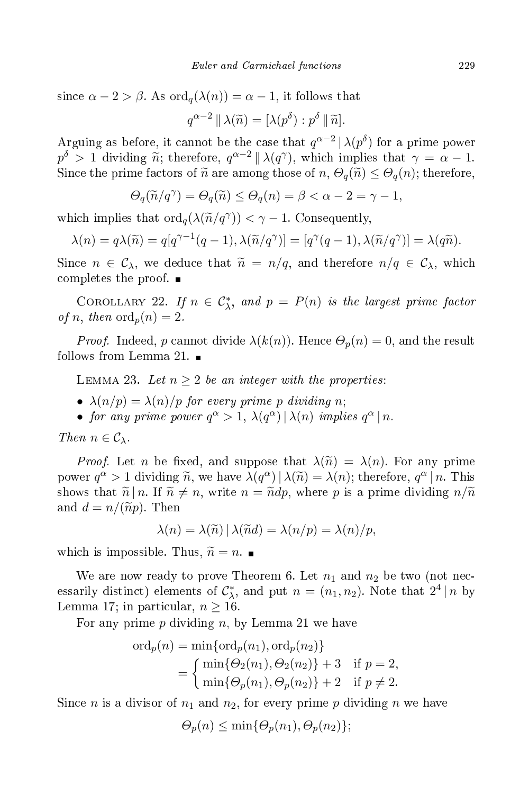since  $\alpha - 2 > \beta$ . As  $\text{ord}_q(\lambda(n)) = \alpha - 1$ , it follows that

$$
q^{\alpha-2} \|\lambda(\widetilde{n}) = [\lambda(p^{\delta}) : p^{\delta} \| \widetilde{n}].
$$

Arguing as before, it cannot be the case that  $q^{\alpha-2} |\lambda(p^{\delta})$  for a prime power  $p^{\delta} > 1$  dividing  $\widetilde{n}$ ; therefore,  $q^{\alpha-2} \parallel \lambda(q^{\gamma})$ , which implies that  $\gamma = \alpha - 1$ . Since the prime factors of  $\tilde{n}$  are among those of  $n, \Theta_q(\tilde{n}) \leq \Theta_q(n)$ ; therefore,

$$
\Theta_q(\widetilde{n}/q^{\gamma}) = \Theta_q(\widetilde{n}) \le \Theta_q(n) = \beta < \alpha - 2 = \gamma - 1,
$$

which implies that  $\text{ord}_q(\lambda(\widetilde{n}/q^{\gamma})) < \gamma - 1$ . Consequently,

$$
\lambda(n) = q\lambda(\widetilde{n}) = q[q^{\gamma - 1}(q - 1), \lambda(\widetilde{n}/q^{\gamma})] = [q^{\gamma}(q - 1), \lambda(\widetilde{n}/q^{\gamma})] = \lambda(q\widetilde{n}).
$$

Since  $n \in \mathcal{C}_{\lambda}$ , we deduce that  $\tilde{n} = n/q$ , and therefore  $n/q \in \mathcal{C}_{\lambda}$ , which completes the proof.  $\blacksquare$ 

COROLLARY 22. If  $n \in C_{\lambda}^*$ , and  $p = P(n)$  is the largest prime factor of n, then  $\operatorname{ord}_p(n) = 2$ .

*Proof.* Indeed, p cannot divide  $\lambda(k(n))$ . Hence  $\Theta_p(n) = 0$ , and the result follows from Lemma 21.

LEMMA 23. Let  $n \geq 2$  be an integer with the properties:

- $\lambda(n/p) = \lambda(n)/p$  for every prime p dividing n;
- for any prime power  $q^{\alpha} > 1$ ,  $\lambda(q^{\alpha}) |\lambda(n)$  implies  $q^{\alpha} | n$ .

Then  $n \in \mathcal{C}_{\lambda}$ .

*Proof.* Let n be fixed, and suppose that  $\lambda(\tilde{n}) = \lambda(n)$ . For any prime power  $q^{\alpha} > 1$  dividing  $\tilde{n}$ , we have  $\lambda(q^{\alpha}) | \lambda(\tilde{n}) = \lambda(n)$ ; therefore,  $q^{\alpha} | n$ . This shows that  $\tilde{n} | n$ . If  $\tilde{n} \neq n$ , write  $n = \tilde{n} dp$ , where p is a prime dividing  $n/\tilde{n}$ and  $d = n/(\widetilde{n}p)$ . Then

$$
\lambda(n) = \lambda(\widetilde{n}) | \lambda(\widetilde{n}d) = \lambda(n/p) = \lambda(n)/p,
$$

which is impossible. Thus,  $\widetilde{n} = n$ .

We are now ready to prove Theorem 6. Let  $n_1$  and  $n_2$  be two (not necessarily distinct) elements of  $\mathcal{C}_{\lambda}^*$ , and put  $n = (n_1, n_2)$ . Note that  $2^4 | n$  by Lemma 17; in particular,  $n \geq 16$ .

For any prime p dividing n, by Lemma 21 we have

$$
\begin{aligned} \n\text{ord}_p(n) &= \min\{\text{ord}_p(n_1), \text{ord}_p(n_2)\} \\ \n&= \begin{cases} \n\min\{\Theta_2(n_1), \Theta_2(n_2)\} + 3 & \text{if } p = 2, \\ \n\min\{\Theta_p(n_1), \Theta_p(n_2)\} + 2 & \text{if } p \neq 2. \n\end{cases} \n\end{aligned}
$$

Since *n* is a divisor of  $n_1$  and  $n_2$ , for every prime *p* dividing *n* we have

$$
\Theta_p(n) \le \min\{\Theta_p(n_1), \Theta_p(n_2)\};
$$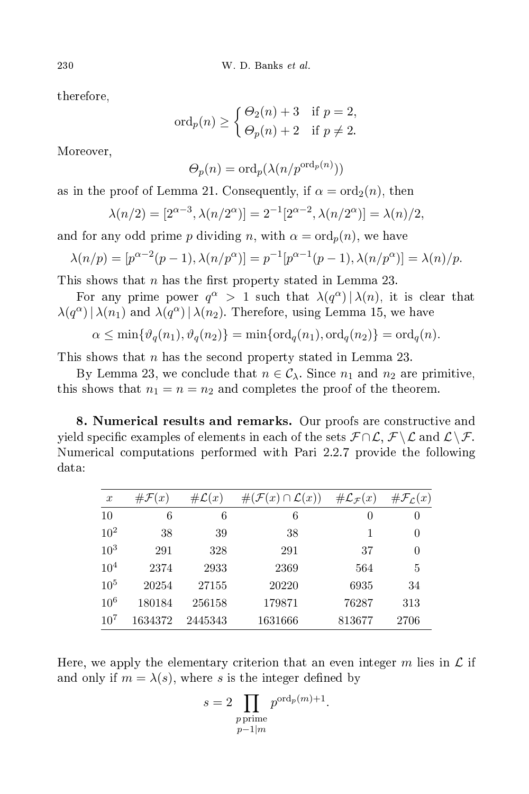therefore,

$$
\mathrm{ord}_p(n) \ge \begin{cases} \Theta_2(n) + 3 & \text{if } p = 2, \\ \Theta_p(n) + 2 & \text{if } p \ne 2. \end{cases}
$$

Moreover,

$$
\Theta_p(n) = \text{ord}_p(\lambda(n/p^{\text{ord}_p(n)}))
$$

as in the proof of Lemma 21. Consequently, if  $\alpha = \text{ord}_2(n)$ , then

$$
\lambda(n/2) = [2^{\alpha-3}, \lambda(n/2^{\alpha})] = 2^{-1}[2^{\alpha-2}, \lambda(n/2^{\alpha})] = \lambda(n)/2,
$$

and for any odd prime p dividing n, with  $\alpha = \text{ord}_p(n)$ , we have

$$
\lambda(n/p) = [p^{\alpha - 2}(p - 1), \lambda(n/p^{\alpha})] = p^{-1}[p^{\alpha - 1}(p - 1), \lambda(n/p^{\alpha})] = \lambda(n)/p.
$$

This shows that n has the first property stated in Lemma 23.

For any prime power  $q^{\alpha} > 1$  such that  $\lambda(q^{\alpha}) |\lambda(n)|$ , it is clear that  $\lambda(q^{\alpha})|\lambda(n_1)$  and  $\lambda(q^{\alpha})|\lambda(n_2)$ . Therefore, using Lemma 15, we have

$$
\alpha \le \min\{\vartheta_q(n_1), \vartheta_q(n_2)\} = \min\{\text{ord}_q(n_1), \text{ord}_q(n_2)\} = \text{ord}_q(n).
$$

This shows that *n* has the second property stated in Lemma 23.

By Lemma 23, we conclude that  $n \in \mathcal{C}_{\lambda}$ . Since  $n_1$  and  $n_2$  are primitive, this shows that  $n_1 = n = n_2$  and completes the proof of the theorem.

8. Numerical results and remarks. Our proofs are constructive and yield specific examples of elements in each of the sets  $\mathcal{F} \cap \mathcal{L}, \mathcal{F} \setminus \mathcal{L}$  and  $\mathcal{L} \setminus \mathcal{F}$ . Numeri
al omputations performed with Pari 2.2.7 provide the following data:

| $\boldsymbol{x}$ | $\#\mathcal{F}(x)$ | $\#\mathcal{L}(x)$ | $\zeta(x) \cap \mathcal{L}(x)$<br>$\#({\mathcal F}$ | $\#\mathcal{L}_{\mathcal{F}}(x)$ | $\#\mathcal{F}_\mathcal{L}(x)$ |
|------------------|--------------------|--------------------|-----------------------------------------------------|----------------------------------|--------------------------------|
| 10               | 6                  | 6                  | 6                                                   | $\left( \right)$                 | $\theta$                       |
| $10^{2}$         | 38                 | 39                 | 38                                                  | 1                                | $\theta$                       |
| $10^{3}$         | 291                | 328                | 291                                                 | 37                               | $\theta$                       |
| $10^{4}$         | 2374               | 2933               | 2369                                                | 564                              | 5                              |
| $10^{5}$         | 20254              | 27155              | 20220                                               | 6935                             | 34                             |
| 10 <sup>6</sup>  | 180184             | 256158             | 179871                                              | 76287                            | 313                            |
| $10^{7}$         | 1634372            | 2445343            | 1631666                                             | 813677                           | 2706                           |

Here, we apply the elementary criterion that an even integer m lies in  $\mathcal L$  if and only if  $m = \lambda(s)$ , where s is the integer defined by

$$
s = 2 \prod_{\substack{p \text{ prime} \\ p-1 \mid m}} p^{\text{ord}_p(m)+1}.
$$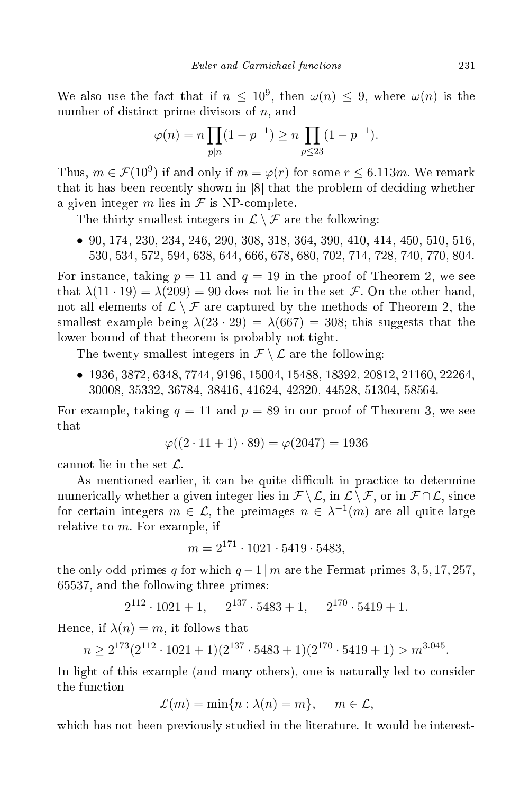We also use the fact that if  $n \leq 10^9$ , then  $\omega(n) \leq 9$ , where  $\omega(n)$  is the number of distinct prime divisors of  $n$ , and

$$
\varphi(n) = n \prod_{p|n} (1 - p^{-1}) \ge n \prod_{p \le 23} (1 - p^{-1}).
$$

Thus,  $m \in \mathcal{F}(10^9)$  if and only if  $m = \varphi(r)$  for some  $r \leq 6.113m$ . We remark that it has been recently shown in [8] that the problem of deciding whether a given integer m lies in  $\mathcal F$  is NP-complete.

The thirty smallest integers in  $\mathcal{L} \setminus \mathcal{F}$  are the following:

• 90, 174, 230, 234, 246, 290, 308, 318, 364, 390, 410, 414, 450, 510, 516, 530, 534, 572, 594, 638, 644, 666, 678, 680, 702, 714, 728, 740, 770, 804.

For instance, taking  $p = 11$  and  $q = 19$  in the proof of Theorem 2, we see that  $\lambda(11 \cdot 19) = \lambda(209) = 90$  does not lie in the set F. On the other hand, not all elements of  $\mathcal{L} \setminus \mathcal{F}$  are captured by the methods of Theorem 2, the smallest example being  $\lambda(23 \cdot 29) = \lambda(667) = 308$ ; this suggests that the lower bound of that theorem is probably not tight.

The twenty smallest integers in  $\mathcal{F} \setminus \mathcal{L}$  are the following:

• 1936, 3872, 6348, 7744, 9196, 15004, 15488, 18392, 20812, 21160, 22264, 30008, 35332, 36784, 38416, 41624, 42320, 44528, 51304, 58564.

For example, taking  $q = 11$  and  $p = 89$  in our proof of Theorem 3, we see that

$$
\varphi((2 \cdot 11 + 1) \cdot 89) = \varphi(2047) = 1936
$$

cannot lie in the set  $\mathcal{L}$ .

As mentioned earlier, it can be quite difficult in practice to determine numerically whether a given integer lies in  $\mathcal{F} \setminus \mathcal{L}$ , in  $\mathcal{L} \setminus \mathcal{F}$ , or in  $\mathcal{F} \cap \mathcal{L}$ , since for certain integers  $m \in \mathcal{L}$ , the preimages  $n \in \lambda^{-1}(m)$  are all quite large relative to  $m$ . For example, if

$$
m = 2^{171} \cdot 1021 \cdot 5419 \cdot 5483,
$$

the only odd primes q for which  $q-1 \mid m$  are the Fermat primes 3, 5, 17, 257, 65537, and the following three primes:

$$
2^{112} \cdot 1021 + 1
$$
,  $2^{137} \cdot 5483 + 1$ ,  $2^{170} \cdot 5419 + 1$ .

Hence, if  $\lambda(n) = m$ , it follows that

$$
n \ge 2^{173} (2^{112} \cdot 1021 + 1)(2^{137} \cdot 5483 + 1)(2^{170} \cdot 5419 + 1) > m^{3.045}.
$$

In light of this example (and many others), one is naturally led to consider the function

$$
\mathcal{L}(m) = \min\{n : \lambda(n) = m\}, \quad m \in \mathcal{L},
$$

which has not been previously studied in the literature. It would be interest-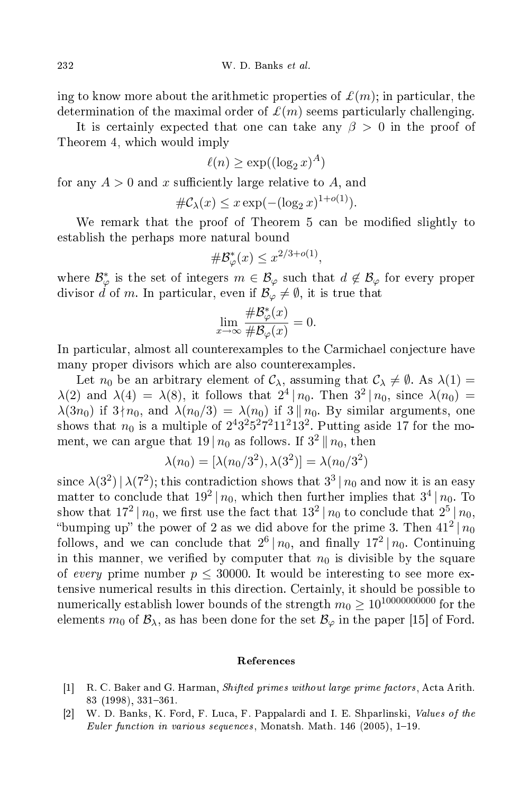ing to know more about the arithmetic properties of  $\mathcal{L}(m)$ ; in particular, the determination of the maximal order of  $\mathcal{L}(m)$  seems particularly challenging.

It is certainly expected that one can take any  $\beta > 0$  in the proof of Theorem 4, whi
h would imply

$$
\ell(n) \ge \exp((\log_2 x)^A)
$$

for any  $A > 0$  and x sufficiently large relative to A, and

$$
\#\mathcal{C}_{\lambda}(x) \leq x \exp(-(\log_2 x)^{1+o(1)}).
$$

We remark that the proof of Theorem 5 can be modified slightly to establish the perhaps more natural bound

$$
\#\mathcal{B}_{\varphi}^*(x) \leq x^{2/3+o(1)},
$$

where  $\mathcal{B}_{\varphi}^*$  is the set of integers  $m \in \mathcal{B}_{\varphi}$  such that  $d \notin \mathcal{B}_{\varphi}$  for every proper divisor d of m. In particular, even if  $\mathcal{B}_{\varphi} \neq \emptyset$ , it is true that

$$
\lim_{x \to \infty} \frac{\# \mathcal{B}_{\varphi}^*(x)}{\# \mathcal{B}_{\varphi}(x)} = 0.
$$

In particular, almost all counterexamples to the Carmichael conjecture have many proper divisors whi
h are also ounterexamples.

Let  $n_0$  be an arbitrary element of  $\mathcal{C}_{\lambda}$ , assuming that  $\mathcal{C}_{\lambda} \neq \emptyset$ . As  $\lambda(1) =$  $\lambda(2)$  and  $\lambda(4) = \lambda(8)$ , it follows that  $2^4 | n_0$ . Then  $3^2 | n_0$ , since  $\lambda(n_0) =$  $\lambda(3n_0)$  if  $3\nmid n_0$ , and  $\lambda(n_0/3) = \lambda(n_0)$  if  $3 \mid n_0$ . By similar arguments, one shows that  $n_0$  is a multiple of  $2^4 3^2 5^2 7^2 11^2 13^2$ . Putting aside 17 for the moment, we can argue that  $19 | n_0$  as follows. If  $3^2 || n_0$ , then

$$
\lambda(n_0) = [\lambda(n_0/3^2), \lambda(3^2)] = \lambda(n_0/3^2)
$$

since  $\lambda(3^2) | \lambda(7^2)$ ; this contradiction shows that  $3^3 | n_0$  and now it is an easy matter to conclude that  $19^2 | n_0$ , which then further implies that  $3^4 | n_0$ . To show that  $17^2 | n_0$ , we first use the fact that  $13^2 | n_0$  to conclude that  $2^5 | n_0$ , "bumping up" the power of 2 as we did above for the prime 3. Then  $41^2 | n_0$ follows, and we can conclude that  $2^6 | n_0$ , and finally  $17^2 | n_0$ . Continuing in this manner, we verified by computer that  $n_0$  is divisible by the square of every prime number  $p \leq 30000$ . It would be interesting to see more extensive numerical results in this direction. Certainly, it should be possible to numerically establish lower bounds of the strength  $m_0 \geq 10^{10000000000}$  for the elements  $m_0$  of  $\mathcal{B}_{\lambda}$ , as has been done for the set  $\mathcal{B}_{\varphi}$  in the paper [15] of Ford.

## Referen
es

- [1] R. C. Baker and G. Harman, *Shifted primes without large prime factors*, Acta Arith. 83 (1998), 331-361.
- [2] W. D. Banks, K. Ford, F. Luca, F. Pappalardi and I. E. Shparlinski, Values of the Euler function in various sequences, Monatsh. Math.  $146$  (2005), 1-19.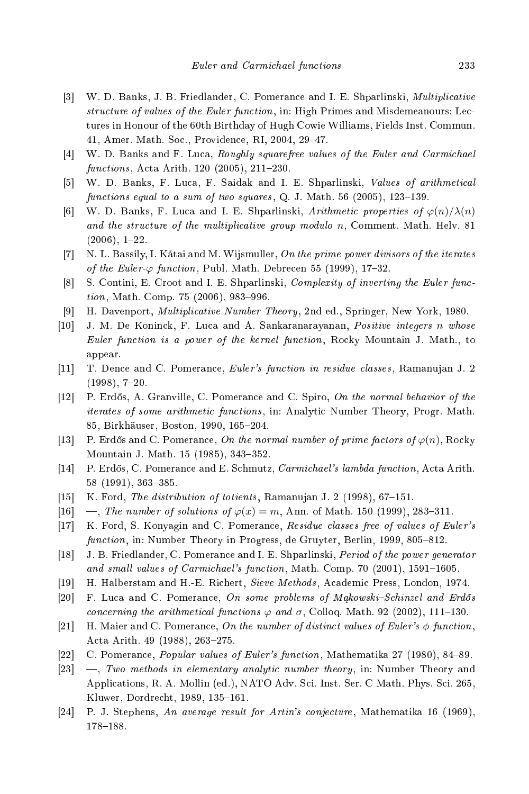- [3] W. D. Banks, J. B. Friedlander, C. Pomerance and I. E. Shparlinski, *Multiplicative* structure of values of the Euler function, in: High Primes and Misdemeanours: Lectures in Honour of the 60th Birthday of Hugh Cowie Williams, Fields Inst. Commun. 41, Amer. Math. Soc., Providence, RI, 2004, 29-47.
- [4] W. D. Banks and F. Luca, *Roughly squarefree values of the Euler and Carmichael* functions, Acta Arith. 120 (2005), 211-230.
- [5] W. D. Banks, F. Luca, F. Saidak and I. E. Shparlinski, Values of arithmetical functions equal to a sum of two squares,  $Q$ . J. Math. 56 (2005), 123-139.
- [6] W. D. Banks, F. Luca and I. E. Shparlinski, Arithmetic properties of  $\varphi(n)/\lambda(n)$ and the structure of the multiplicative group modulo n, Comment. Math. Helv. 81  $(2006), 1-22.$
- $\lceil 7 \rceil$ N. L. Bassily, I. Kátai and M. Wiismuller, On the prime power divisors of the iterates  $\begin{array}{ccc} \text{1} & \text{1} & \text{1} & \text{1} & \text{1} & \text{1} & \text{1} & \text{1} & \text{1} & \text{1} & \text{1} & \text{1} & \text{1} & \text{1} & \text{1} & \text{1} & \text{1} & \text{1} & \text{1} & \text{1} & \text{1} & \text{1} & \text{1} & \text{1} & \text{1} & \text{1} & \text{1} & \text{1} & \text{1} & \text{1} & \text{1} & \text{1} & \text{1} & \text{1} & \text{1} & \text{$ of the Euler- $\varphi$  function, Publ. Math. Debrecen 55 (1999), 17-32.
- [8] S. Contini, E. Croot and I. E. Shparlinski, *Complexity of inverting the Euler func* $tion, Math. Comp. 75 (2006), 983–996.$
- [9] H. Davenport, *Multiplicative Number Theory*, 2nd ed., Springer, New York, 1980.
- [10] J. M. De Koninck, F. Luca and A. Sankaranarayanan, Positive integers n whose Euler function is a power of the kernel function, Rocky Mountain J. Math., to appear.
- [11] T. Dence and C. Pomerance, Euler's function in residue classes, Ramanujan J. 2  $(1998), 7-20.$
- [12] P. Erdős, A. Granville, C. Pomerance and C. Spiro, On the normal behavior of the iterates of some arithmetic functions, in: Analytic Number Theory, Progr. Math. 85, Birkhäuser, Boston, 1990, 165-204.
- [13] P. Erdős and C. Pomerance, On the normal number of prime factors of  $\varphi(n)$ , Rocky Mountain J. Math. 15 (1985), 343-352.
- [14] P. Erdős, C. Pomerance and E. Schmutz, *Carmichael's lambda function*, Acta Arith. 58 (1991), 363-385.
- [15] K. Ford, The distribution of totients, Ramanujan J. 2 (1998),  $67-151$ .
- [16]  $\ldots$ , The number of solutions of  $\varphi(x) = m$ , Ann. of Math. 150 (1999), 283-311.
- [17] K. Ford, S. Konyagin and C. Pomerance, Residue classes free of values of Euler's function, in: Number Theory in Progress, de Gruyter, Berlin, 1999, 805-812.
- [18] J. B. Friedlander, C. Pomerance and I. E. Shparlinski, *Period of the power generator* and small values of Carmichael's function, Math. Comp. 70 (2001), 1591-1605.
- [19] H. Halberstam and H.-E. Richert, Sieve Methods, Academic Press, London, 1974.
- [20] F. Luca and C. Pomerance, On some problems of  $Mqkowski-Schinzel$  and  $Erd\delta s$ concerning the arithmetical functions  $\varphi$  and  $\sigma$ , Colloq. Math. 92 (2002), 111–130.
- [21] H. Maier and C. Pomerance, On the number of distinct values of Euler's  $\phi$ -function. Acta Arith. 49 (1988), 263-275.
- [22] C. Pomerance, *Popular values of Euler's function*, Mathematika 27 (1980), 84–89.
- $[23] \quad$ —, Two methods in elementary analytic number theory, in: Number Theory and Applications, R. A. Mollin (ed.), NATO Adv. Sci. Inst. Ser. C Math. Phys. Sci. 265, Kluwer, Dordrecht, 1989, 135-161.
- [24] P. J. Stephens, An average result for Artin's conjecture, Mathematika 16 (1969), 178-188.